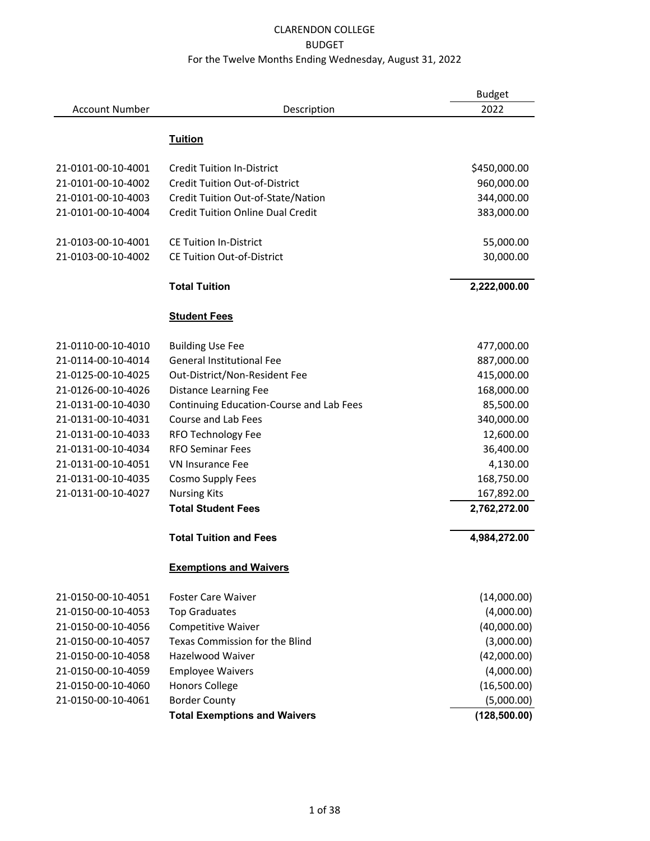|                       |                                          | <b>Budget</b> |
|-----------------------|------------------------------------------|---------------|
| <b>Account Number</b> | Description                              | 2022          |
|                       |                                          |               |
|                       | <b>Tuition</b>                           |               |
| 21-0101-00-10-4001    | <b>Credit Tuition In-District</b>        | \$450,000.00  |
| 21-0101-00-10-4002    | <b>Credit Tuition Out-of-District</b>    | 960,000.00    |
| 21-0101-00-10-4003    | Credit Tuition Out-of-State/Nation       | 344,000.00    |
| 21-0101-00-10-4004    | <b>Credit Tuition Online Dual Credit</b> | 383,000.00    |
| 21-0103-00-10-4001    | <b>CE Tuition In-District</b>            | 55,000.00     |
| 21-0103-00-10-4002    | <b>CE Tuition Out-of-District</b>        | 30,000.00     |
|                       |                                          |               |
|                       | <b>Total Tuition</b>                     | 2,222,000.00  |
|                       | <b>Student Fees</b>                      |               |
| 21-0110-00-10-4010    | <b>Building Use Fee</b>                  | 477,000.00    |
| 21-0114-00-10-4014    | <b>General Institutional Fee</b>         | 887,000.00    |
| 21-0125-00-10-4025    | Out-District/Non-Resident Fee            | 415,000.00    |
| 21-0126-00-10-4026    | Distance Learning Fee                    | 168,000.00    |
| 21-0131-00-10-4030    | Continuing Education-Course and Lab Fees | 85,500.00     |
| 21-0131-00-10-4031    | Course and Lab Fees                      | 340,000.00    |
| 21-0131-00-10-4033    | RFO Technology Fee                       | 12,600.00     |
| 21-0131-00-10-4034    | <b>RFO Seminar Fees</b>                  | 36,400.00     |
| 21-0131-00-10-4051    | <b>VN Insurance Fee</b>                  | 4,130.00      |
| 21-0131-00-10-4035    | Cosmo Supply Fees                        | 168,750.00    |
| 21-0131-00-10-4027    | <b>Nursing Kits</b>                      | 167,892.00    |
|                       | <b>Total Student Fees</b>                | 2,762,272.00  |
|                       | <b>Total Tuition and Fees</b>            | 4,984,272.00  |
|                       | <b>Exemptions and Waivers</b>            |               |
| 21-0150-00-10-4051    | <b>Foster Care Waiver</b>                | (14,000.00)   |
| 21-0150-00-10-4053    | <b>Top Graduates</b>                     | (4,000.00)    |
| 21-0150-00-10-4056    | Competitive Waiver                       | (40,000.00)   |
| 21-0150-00-10-4057    | Texas Commission for the Blind           | (3,000.00)    |
| 21-0150-00-10-4058    | <b>Hazelwood Waiver</b>                  | (42,000.00)   |
| 21-0150-00-10-4059    | <b>Employee Waivers</b>                  | (4,000.00)    |
| 21-0150-00-10-4060    | <b>Honors College</b>                    | (16,500.00)   |
| 21-0150-00-10-4061    | <b>Border County</b>                     | (5,000.00)    |
|                       | <b>Total Exemptions and Waivers</b>      | (128, 500.00) |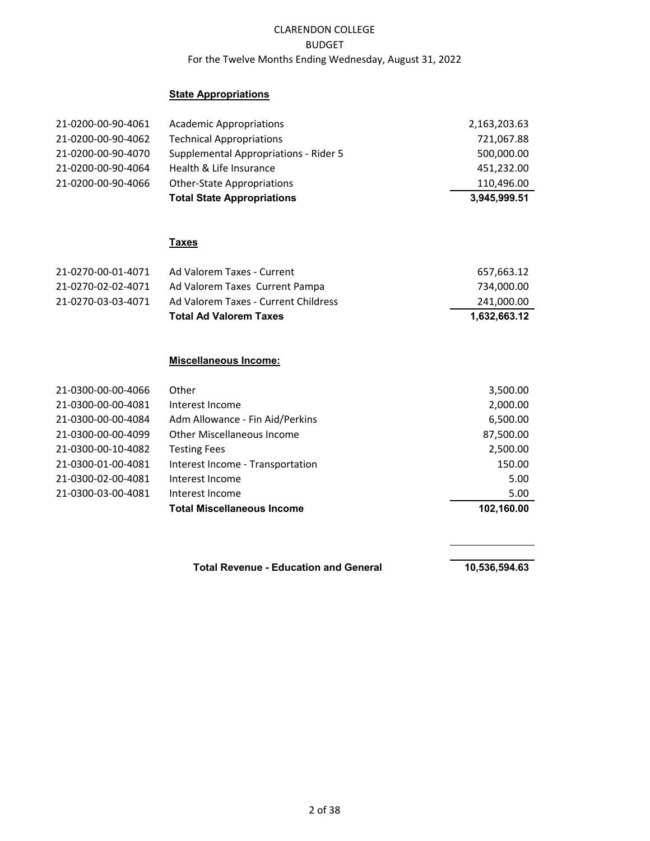## **State Appropriations**

| 21-0200-00-90-4061 | <b>Academic Appropriations</b>        | 2,163,203.63 |
|--------------------|---------------------------------------|--------------|
| 21-0200-00-90-4062 | <b>Technical Appropriations</b>       | 721,067.88   |
| 21-0200-00-90-4070 | Supplemental Appropriations - Rider 5 | 500,000.00   |
| 21-0200-00-90-4064 | Health & Life Insurance               | 451,232.00   |
| 21-0200-00-90-4066 | <b>Other-State Appropriations</b>     | 110,496.00   |
|                    | <b>Total State Appropriations</b>     | 3.945.999.51 |

#### **Taxes**

| 21-0270-03-03-4071 | Ad Valorem Taxes Current Pampa<br>Ad Valorem Taxes - Current Childress | 734,000.00<br>241,000.00 |
|--------------------|------------------------------------------------------------------------|--------------------------|
|                    | <b>Total Ad Valorem Taxes</b>                                          | 1,632,663.12             |

#### **Miscellaneous Income:**

| 21-0300-00-00-4066 | Other                             | 3,500.00   |
|--------------------|-----------------------------------|------------|
| 21-0300-00-00-4081 | Interest Income                   | 2,000.00   |
| 21-0300-00-00-4084 | Adm Allowance - Fin Aid/Perkins   | 6,500.00   |
| 21-0300-00-00-4099 | Other Miscellaneous Income        | 87,500.00  |
| 21-0300-00-10-4082 | <b>Testing Fees</b>               | 2,500.00   |
| 21-0300-01-00-4081 | Interest Income - Transportation  | 150.00     |
| 21-0300-02-00-4081 | Interest Income                   | 5.00       |
| 21-0300-03-00-4081 | Interest Income                   | 5.00       |
|                    | <b>Total Miscellaneous Income</b> | 102,160.00 |

Total Revenue - Education and General **10,536,594.63**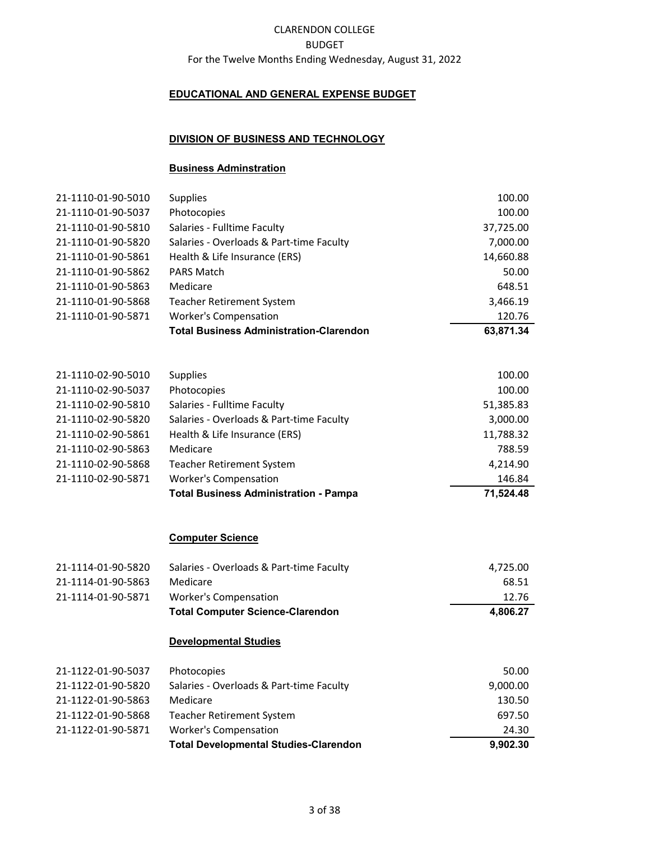## **EDUCATIONAL AND GENERAL EXPENSE BUDGET**

#### **DIVISION OF BUSINESS AND TECHNOLOGY**

#### **Business Adminstration**

| 21-1110-01-90-5010 | <b>Supplies</b>                                | 100.00    |
|--------------------|------------------------------------------------|-----------|
| 21-1110-01-90-5037 | Photocopies                                    | 100.00    |
| 21-1110-01-90-5810 | Salaries - Fulltime Faculty                    | 37,725.00 |
| 21-1110-01-90-5820 | Salaries - Overloads & Part-time Faculty       | 7,000.00  |
| 21-1110-01-90-5861 | Health & Life Insurance (ERS)                  | 14,660.88 |
| 21-1110-01-90-5862 | <b>PARS Match</b>                              | 50.00     |
| 21-1110-01-90-5863 | Medicare                                       | 648.51    |
| 21-1110-01-90-5868 | <b>Teacher Retirement System</b>               | 3,466.19  |
| 21-1110-01-90-5871 | <b>Worker's Compensation</b>                   | 120.76    |
|                    | <b>Total Business Administration-Clarendon</b> | 63,871.34 |

|                    | <b>Total Business Administration - Pampa</b> | 71,524.48 |
|--------------------|----------------------------------------------|-----------|
| 21-1110-02-90-5871 | <b>Worker's Compensation</b>                 | 146.84    |
| 21-1110-02-90-5868 | <b>Teacher Retirement System</b>             | 4,214.90  |
| 21-1110-02-90-5863 | Medicare                                     | 788.59    |
| 21-1110-02-90-5861 | Health & Life Insurance (ERS)                | 11,788.32 |
| 21-1110-02-90-5820 | Salaries - Overloads & Part-time Faculty     | 3,000.00  |
| 21-1110-02-90-5810 | Salaries - Fulltime Faculty                  | 51,385.83 |
| 21-1110-02-90-5037 | Photocopies                                  | 100.00    |
| 21-1110-02-90-5010 | <b>Supplies</b>                              | 100.00    |

#### **Computer Science**

|                    | <b>Total Computer Science-Clarendon</b>  | 4.806.27 |
|--------------------|------------------------------------------|----------|
| 21-1114-01-90-5871 | Worker's Compensation                    | 12.76    |
| 21-1114-01-90-5863 | Medicare                                 | 68.51    |
| 21-1114-01-90-5820 | Salaries - Overloads & Part-time Faculty | 4,725.00 |

#### **Developmental Studies**

| 21-1122-01-90-5037 | Photocopies                                  | 50.00    |
|--------------------|----------------------------------------------|----------|
| 21-1122-01-90-5820 | Salaries - Overloads & Part-time Faculty     | 9,000.00 |
| 21-1122-01-90-5863 | Medicare                                     | 130.50   |
| 21-1122-01-90-5868 | <b>Teacher Retirement System</b>             | 697.50   |
| 21-1122-01-90-5871 | <b>Worker's Compensation</b>                 | 24.30    |
|                    | <b>Total Developmental Studies-Clarendon</b> | 9,902.30 |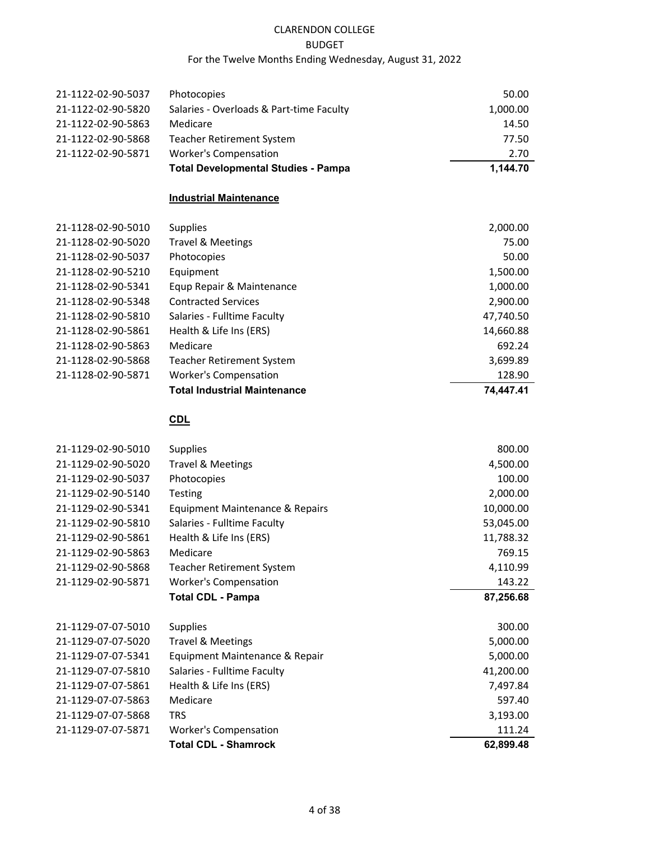|                    | <b>Total Developmental Studies - Pampa</b> | 1.144.70 |
|--------------------|--------------------------------------------|----------|
| 21-1122-02-90-5871 | <b>Worker's Compensation</b>               | 2.70     |
| 21-1122-02-90-5868 | <b>Teacher Retirement System</b>           | 77.50    |
| 21-1122-02-90-5863 | Medicare                                   | 14.50    |
| 21-1122-02-90-5820 | Salaries - Overloads & Part-time Faculty   | 1,000.00 |
| 21-1122-02-90-5037 | <b>Photocopies</b>                         | 50.00    |
|                    |                                            |          |

#### **Industrial Maintenance**

|                    | <b>Total Industrial Maintenance</b> | 74.447.41 |
|--------------------|-------------------------------------|-----------|
| 21-1128-02-90-5871 | <b>Worker's Compensation</b>        | 128.90    |
| 21-1128-02-90-5868 | <b>Teacher Retirement System</b>    | 3,699.89  |
| 21-1128-02-90-5863 | Medicare                            | 692.24    |
| 21-1128-02-90-5861 | Health & Life Ins (ERS)             | 14,660.88 |
| 21-1128-02-90-5810 | Salaries - Fulltime Faculty         | 47,740.50 |
| 21-1128-02-90-5348 | <b>Contracted Services</b>          | 2,900.00  |
| 21-1128-02-90-5341 | Equp Repair & Maintenance           | 1,000.00  |
| 21-1128-02-90-5210 | Equipment                           | 1,500.00  |
| 21-1128-02-90-5037 | Photocopies                         | 50.00     |
| 21-1128-02-90-5020 | Travel & Meetings                   | 75.00     |
| 21-1128-02-90-5010 | <b>Supplies</b>                     | 2,000.00  |

# **CDL**

| 21-1129-02-90-5010 | <b>Supplies</b>                  | 800.00    |
|--------------------|----------------------------------|-----------|
| 21-1129-02-90-5020 | <b>Travel &amp; Meetings</b>     | 4,500.00  |
| 21-1129-02-90-5037 | Photocopies                      | 100.00    |
| 21-1129-02-90-5140 | <b>Testing</b>                   | 2,000.00  |
| 21-1129-02-90-5341 | Equipment Maintenance & Repairs  | 10,000.00 |
| 21-1129-02-90-5810 | Salaries - Fulltime Faculty      | 53,045.00 |
| 21-1129-02-90-5861 | Health & Life Ins (ERS)          | 11,788.32 |
| 21-1129-02-90-5863 | Medicare                         | 769.15    |
| 21-1129-02-90-5868 | <b>Teacher Retirement System</b> | 4,110.99  |
| 21-1129-02-90-5871 | <b>Worker's Compensation</b>     | 143.22    |
|                    | <b>Total CDL - Pampa</b>         | 87,256.68 |
| 21-1129-07-07-5010 | <b>Supplies</b>                  | 300.00    |
| 21-1129-07-07-5020 | <b>Travel &amp; Meetings</b>     | 5,000.00  |
| 21-1129-07-07-5341 | Equipment Maintenance & Repair   | 5,000.00  |
| 21-1129-07-07-5810 | Salaries - Fulltime Faculty      | 41,200.00 |
| 21-1129-07-07-5861 | Health & Life Ins (ERS)          | 7,497.84  |
| 21-1129-07-07-5863 | Medicare                         | 597.40    |
| 21-1129-07-07-5868 | <b>TRS</b>                       | 3,193.00  |
| 21-1129-07-07-5871 | <b>Worker's Compensation</b>     | 111.24    |
|                    | <b>Total CDL - Shamrock</b>      | 62,899.48 |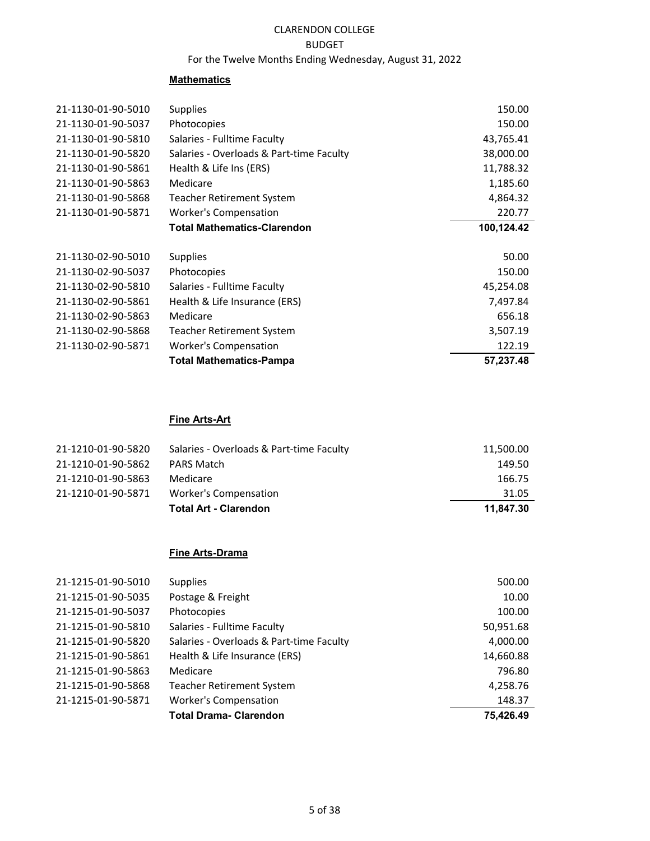# CLARENDON COLLEGE

## BUDGET

## For the Twelve Months Ending Wednesday, August 31, 2022

#### **Mathematics**

| 21-1130-01-90-5010 | <b>Supplies</b>                          | 150.00     |
|--------------------|------------------------------------------|------------|
| 21-1130-01-90-5037 | Photocopies                              | 150.00     |
| 21-1130-01-90-5810 | Salaries - Fulltime Faculty              | 43,765.41  |
| 21-1130-01-90-5820 | Salaries - Overloads & Part-time Faculty | 38,000.00  |
| 21-1130-01-90-5861 | Health & Life Ins (ERS)                  | 11,788.32  |
| 21-1130-01-90-5863 | Medicare                                 | 1,185.60   |
| 21-1130-01-90-5868 | Teacher Retirement System                | 4,864.32   |
| 21-1130-01-90-5871 | <b>Worker's Compensation</b>             | 220.77     |
|                    | <b>Total Mathematics-Clarendon</b>       | 100,124.42 |
|                    |                                          |            |
| 21-1130-02-90-5010 | <b>Supplies</b>                          | 50.00      |
| 21-1130-02-90-5037 | Photocopies                              | 150.00     |
| 21-1130-02-90-5810 | Salaries - Fulltime Faculty              | 45,254.08  |
| 21-1130-02-90-5861 | Health & Life Insurance (ERS)            | 7,497.84   |
| 21-1130-02-90-5863 | Medicare                                 | 656.18     |
| 21-1130-02-90-5868 | Teacher Retirement System                | 3,507.19   |
| 21-1130-02-90-5871 | <b>Worker's Compensation</b>             | 122.19     |
|                    | <b>Total Mathematics-Pampa</b>           | 57,237.48  |

## **Fine Arts-Art**

| 21-1210-01-90-5820 | Salaries - Overloads & Part-time Faculty | 11,500.00 |
|--------------------|------------------------------------------|-----------|
| 21-1210-01-90-5862 | <b>PARS Match</b>                        | 149.50    |
| 21-1210-01-90-5863 | Medicare                                 | 166.75    |
| 21-1210-01-90-5871 | <b>Worker's Compensation</b>             | 31.05     |
|                    | <b>Total Art - Clarendon</b>             | 11.847.30 |

## **Fine Arts-Drama**

|                    | <b>Total Drama- Clarendon</b>            | 75,426.49 |
|--------------------|------------------------------------------|-----------|
| 21-1215-01-90-5871 | <b>Worker's Compensation</b>             | 148.37    |
| 21-1215-01-90-5868 | Teacher Retirement System                | 4,258.76  |
| 21-1215-01-90-5863 | Medicare                                 | 796.80    |
| 21-1215-01-90-5861 | Health & Life Insurance (ERS)            | 14,660.88 |
| 21-1215-01-90-5820 | Salaries - Overloads & Part-time Faculty | 4,000.00  |
| 21-1215-01-90-5810 | Salaries - Fulltime Faculty              | 50,951.68 |
| 21-1215-01-90-5037 | Photocopies                              | 100.00    |
| 21-1215-01-90-5035 | Postage & Freight                        | 10.00     |
| 21-1215-01-90-5010 | <b>Supplies</b>                          | 500.00    |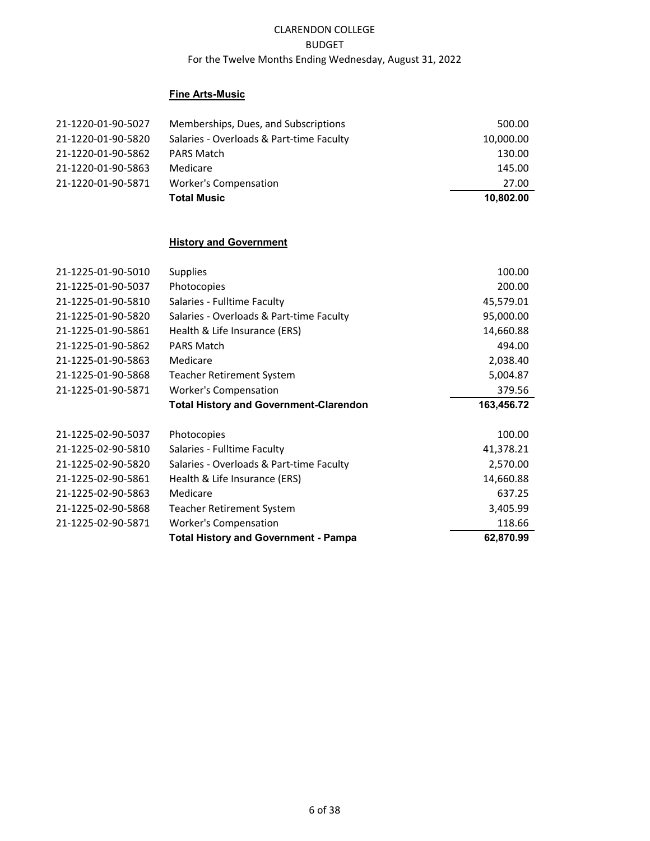## **Fine Arts-Music**

| 21-1220-01-90-5027 | Memberships, Dues, and Subscriptions     | 500.00    |
|--------------------|------------------------------------------|-----------|
| 21-1220-01-90-5820 | Salaries - Overloads & Part-time Faculty | 10,000.00 |
| 21-1220-01-90-5862 | <b>PARS Match</b>                        | 130.00    |
| 21-1220-01-90-5863 | Medicare                                 | 145.00    |
| 21-1220-01-90-5871 | Worker's Compensation                    | 27.00     |
|                    | <b>Total Music</b>                       | 10.802.00 |

## **History and Government**

| 21-1225-01-90-5010 | <b>Supplies</b>                               | 100.00     |
|--------------------|-----------------------------------------------|------------|
| 21-1225-01-90-5037 | Photocopies                                   | 200.00     |
| 21-1225-01-90-5810 | Salaries - Fulltime Faculty                   | 45,579.01  |
| 21-1225-01-90-5820 | Salaries - Overloads & Part-time Faculty      | 95,000.00  |
| 21-1225-01-90-5861 | Health & Life Insurance (ERS)                 | 14,660.88  |
| 21-1225-01-90-5862 | <b>PARS Match</b>                             | 494.00     |
| 21-1225-01-90-5863 | Medicare                                      | 2,038.40   |
| 21-1225-01-90-5868 | Teacher Retirement System                     | 5,004.87   |
| 21-1225-01-90-5871 | <b>Worker's Compensation</b>                  | 379.56     |
|                    | <b>Total History and Government-Clarendon</b> | 163,456.72 |
|                    |                                               |            |
| 21-1225-02-90-5037 | Photocopies                                   | 100.00     |
| 21-1225-02-90-5810 | Salaries - Fulltime Faculty                   | 41,378.21  |
| 21-1225-02-90-5820 | Salaries - Overloads & Part-time Faculty      | 2,570.00   |
| 21-1225-02-90-5861 | Health & Life Insurance (ERS)                 | 14,660.88  |
| 21-1225-02-90-5863 | Medicare                                      | 637.25     |
| 21-1225-02-90-5868 | <b>Teacher Retirement System</b>              | 3,405.99   |
| 21-1225-02-90-5871 | <b>Worker's Compensation</b>                  | 118.66     |
|                    | <b>Total History and Government - Pampa</b>   | 62,870.99  |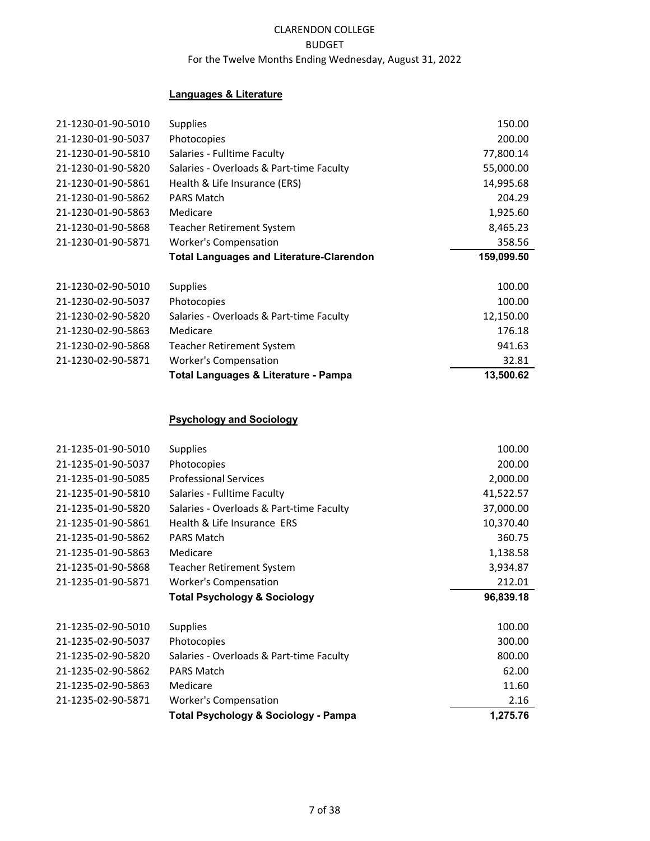## **Languages & Literature**

| 21-1230-01-90-5010 | <b>Supplies</b>                                 | 150.00     |
|--------------------|-------------------------------------------------|------------|
| 21-1230-01-90-5037 | Photocopies                                     | 200.00     |
| 21-1230-01-90-5810 | Salaries - Fulltime Faculty                     | 77,800.14  |
| 21-1230-01-90-5820 | Salaries - Overloads & Part-time Faculty        | 55,000.00  |
| 21-1230-01-90-5861 | Health & Life Insurance (ERS)                   | 14,995.68  |
| 21-1230-01-90-5862 | <b>PARS Match</b>                               | 204.29     |
| 21-1230-01-90-5863 | Medicare                                        | 1,925.60   |
| 21-1230-01-90-5868 | <b>Teacher Retirement System</b>                | 8,465.23   |
| 21-1230-01-90-5871 | <b>Worker's Compensation</b>                    | 358.56     |
|                    | <b>Total Languages and Literature-Clarendon</b> | 159,099.50 |
| 21-1230-02-90-5010 | Supplies                                        | 100.00     |
| 21-1230-02-90-5037 | Photocopies                                     | 100.00     |
| 21-1230-02-90-5820 | Salaries - Overloads & Part-time Faculty        | 12,150.00  |
| 21-1230-02-90-5863 | Medicare                                        | 176.18     |
| 21-1230-02-90-5868 | <b>Teacher Retirement System</b>                | 941.63     |
| 21-1230-02-90-5871 | <b>Worker's Compensation</b>                    | 32.81      |
|                    | Total Languages & Literature - Pampa            | 13,500.62  |
|                    |                                                 |            |
|                    | <b>Psychology and Sociology</b>                 |            |
| 21-1235-01-90-5010 | Supplies                                        | 100.00     |
| 21-1235-01-90-5037 | Photocopies                                     | 200.00     |
| 21-1235-01-90-5085 | <b>Professional Services</b>                    | 2,000.00   |
| 21-1235-01-90-5810 | Salaries - Fulltime Faculty                     | 41,522.57  |
| 21-1235-01-90-5820 | Salaries - Overloads & Part-time Faculty        | 37,000.00  |
| 21-1235-01-90-5861 | Health & Life Insurance ERS                     | 10,370.40  |
| 21-1235-01-90-5862 | <b>PARS Match</b>                               | 360.75     |
| 21-1235-01-90-5863 | Medicare                                        | 1,138.58   |
| 21-1235-01-90-5868 | <b>Teacher Retirement System</b>                | 3,934.87   |
| 21-1235-01-90-5871 | <b>Worker's Compensation</b>                    | 212.01     |
|                    | <b>Total Psychology &amp; Sociology</b>         | 96,839.18  |
| 21-1235-02-90-5010 | <b>Supplies</b>                                 | 100.00     |
| 21-1235-02-90-5037 | Photocopies                                     | 300.00     |
| 21-1235-02-90-5820 | Salaries - Overloads & Part-time Faculty        | 800.00     |
| 21-1235-02-90-5862 | <b>PARS Match</b>                               | 62.00      |
| 21-1235-02-90-5863 | Medicare                                        | 11.60      |
| 21-1235-02-90-5871 | <b>Worker's Compensation</b>                    | 2.16       |
|                    | <b>Total Psychology &amp; Sociology - Pampa</b> | 1,275.76   |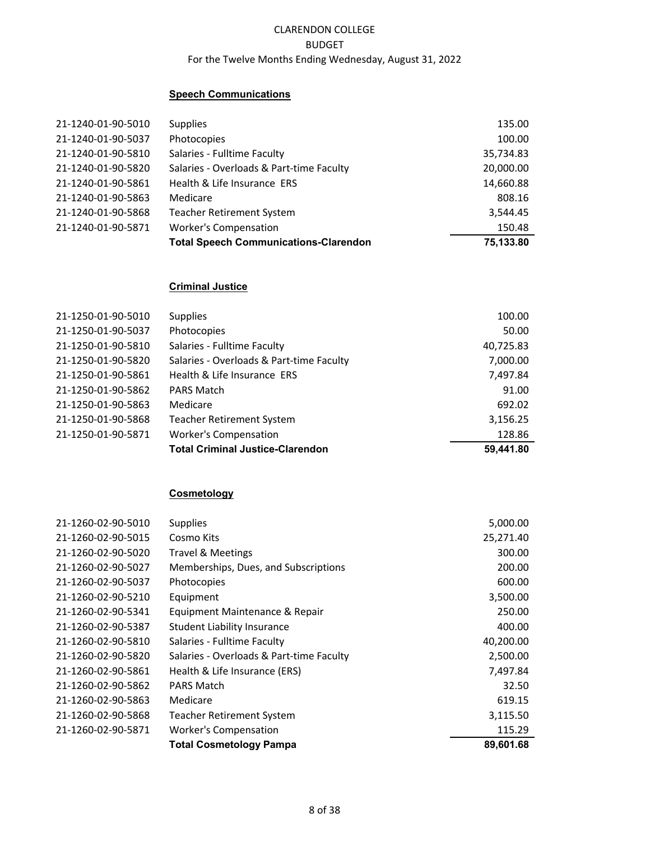## **Speech Communications**

| 21-1240-01-90-5010 | <b>Supplies</b>                              | 135.00    |
|--------------------|----------------------------------------------|-----------|
| 21-1240-01-90-5037 | Photocopies                                  | 100.00    |
| 21-1240-01-90-5810 | Salaries - Fulltime Faculty                  | 35,734.83 |
| 21-1240-01-90-5820 | Salaries - Overloads & Part-time Faculty     | 20,000.00 |
| 21-1240-01-90-5861 | Health & Life Insurance ERS                  | 14,660.88 |
| 21-1240-01-90-5863 | Medicare                                     | 808.16    |
| 21-1240-01-90-5868 | <b>Teacher Retirement System</b>             | 3,544.45  |
| 21-1240-01-90-5871 | <b>Worker's Compensation</b>                 | 150.48    |
|                    | <b>Total Speech Communications-Clarendon</b> | 75,133.80 |

#### **Criminal Justice**

| 21-1250-01-90-5010 | <b>Supplies</b>                          | 100.00    |
|--------------------|------------------------------------------|-----------|
| 21-1250-01-90-5037 | Photocopies                              | 50.00     |
| 21-1250-01-90-5810 | Salaries - Fulltime Faculty              | 40,725.83 |
| 21-1250-01-90-5820 | Salaries - Overloads & Part-time Faculty | 7,000.00  |
| 21-1250-01-90-5861 | Health & Life Insurance ERS              | 7,497.84  |
| 21-1250-01-90-5862 | <b>PARS Match</b>                        | 91.00     |
| 21-1250-01-90-5863 | Medicare                                 | 692.02    |
| 21-1250-01-90-5868 | <b>Teacher Retirement System</b>         | 3,156.25  |
| 21-1250-01-90-5871 | <b>Worker's Compensation</b>             | 128.86    |
|                    | <b>Total Criminal Justice-Clarendon</b>  | 59.441.80 |

#### **Cosmetology**

|                    | <b>Total Cosmetology Pampa</b>           | 89,601.68 |
|--------------------|------------------------------------------|-----------|
| 21-1260-02-90-5871 | <b>Worker's Compensation</b>             | 115.29    |
| 21-1260-02-90-5868 | <b>Teacher Retirement System</b>         | 3,115.50  |
| 21-1260-02-90-5863 | Medicare                                 | 619.15    |
| 21-1260-02-90-5862 | <b>PARS Match</b>                        | 32.50     |
| 21-1260-02-90-5861 | Health & Life Insurance (ERS)            | 7,497.84  |
| 21-1260-02-90-5820 | Salaries - Overloads & Part-time Faculty | 2,500.00  |
| 21-1260-02-90-5810 | Salaries - Fulltime Faculty              | 40,200.00 |
| 21-1260-02-90-5387 | <b>Student Liability Insurance</b>       | 400.00    |
| 21-1260-02-90-5341 | Equipment Maintenance & Repair           | 250.00    |
| 21-1260-02-90-5210 | Equipment                                | 3,500.00  |
| 21-1260-02-90-5037 | Photocopies                              | 600.00    |
| 21-1260-02-90-5027 | Memberships, Dues, and Subscriptions     | 200.00    |
| 21-1260-02-90-5020 | Travel & Meetings                        | 300.00    |
| 21-1260-02-90-5015 | Cosmo Kits                               | 25,271.40 |
| 21-1260-02-90-5010 | <b>Supplies</b>                          | 5,000.00  |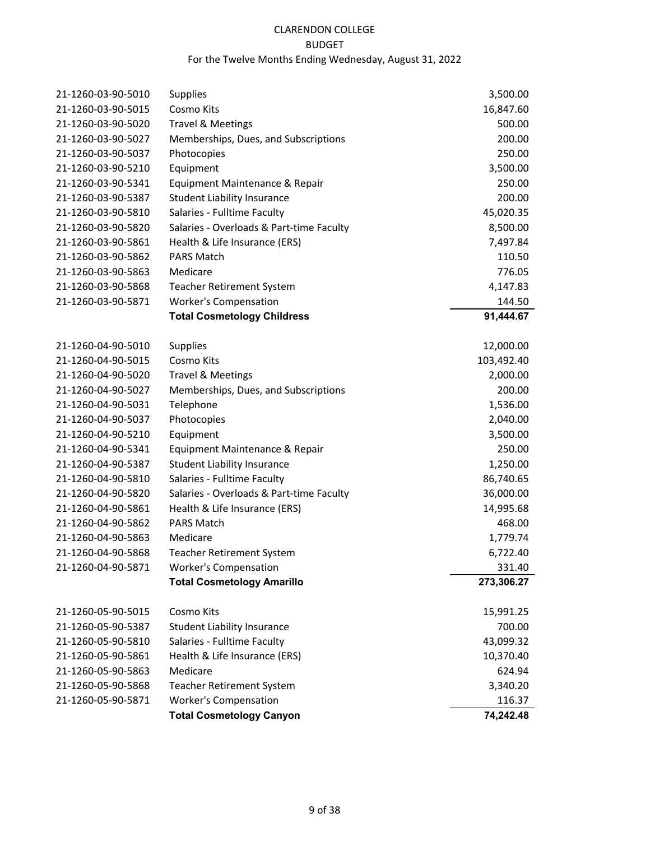# CLARENDON COLLEGE

#### BUDGET

# For the Twelve Months Ending Wednesday, August 31, 2022

| 21-1260-03-90-5010 | <b>Supplies</b>                          | 3,500.00   |
|--------------------|------------------------------------------|------------|
| 21-1260-03-90-5015 | Cosmo Kits                               | 16,847.60  |
| 21-1260-03-90-5020 | <b>Travel &amp; Meetings</b>             | 500.00     |
| 21-1260-03-90-5027 | Memberships, Dues, and Subscriptions     | 200.00     |
| 21-1260-03-90-5037 | Photocopies                              | 250.00     |
| 21-1260-03-90-5210 | Equipment                                | 3,500.00   |
| 21-1260-03-90-5341 | Equipment Maintenance & Repair           | 250.00     |
| 21-1260-03-90-5387 | <b>Student Liability Insurance</b>       | 200.00     |
| 21-1260-03-90-5810 | Salaries - Fulltime Faculty              | 45,020.35  |
| 21-1260-03-90-5820 | Salaries - Overloads & Part-time Faculty | 8,500.00   |
| 21-1260-03-90-5861 | Health & Life Insurance (ERS)            | 7,497.84   |
| 21-1260-03-90-5862 | <b>PARS Match</b>                        | 110.50     |
| 21-1260-03-90-5863 | Medicare                                 | 776.05     |
| 21-1260-03-90-5868 | <b>Teacher Retirement System</b>         | 4,147.83   |
| 21-1260-03-90-5871 | <b>Worker's Compensation</b>             | 144.50     |
|                    | <b>Total Cosmetology Childress</b>       | 91,444.67  |
| 21-1260-04-90-5010 | <b>Supplies</b>                          | 12,000.00  |
| 21-1260-04-90-5015 | Cosmo Kits                               | 103,492.40 |
| 21-1260-04-90-5020 | <b>Travel &amp; Meetings</b>             | 2,000.00   |
| 21-1260-04-90-5027 | Memberships, Dues, and Subscriptions     | 200.00     |
| 21-1260-04-90-5031 | Telephone                                | 1,536.00   |
| 21-1260-04-90-5037 | Photocopies                              | 2,040.00   |
| 21-1260-04-90-5210 | Equipment                                | 3,500.00   |
| 21-1260-04-90-5341 | Equipment Maintenance & Repair           | 250.00     |
| 21-1260-04-90-5387 | <b>Student Liability Insurance</b>       | 1,250.00   |
| 21-1260-04-90-5810 | Salaries - Fulltime Faculty              | 86,740.65  |
| 21-1260-04-90-5820 | Salaries - Overloads & Part-time Faculty | 36,000.00  |
| 21-1260-04-90-5861 | Health & Life Insurance (ERS)            | 14,995.68  |
| 21-1260-04-90-5862 | <b>PARS Match</b>                        | 468.00     |
| 21-1260-04-90-5863 | Medicare                                 | 1,779.74   |
| 21-1260-04-90-5868 | <b>Teacher Retirement System</b>         | 6,722.40   |
| 21-1260-04-90-5871 | <b>Worker's Compensation</b>             | 331.40     |
|                    | <b>Total Cosmetology Amarillo</b>        | 273,306.27 |
| 21-1260-05-90-5015 | Cosmo Kits                               | 15,991.25  |
| 21-1260-05-90-5387 | <b>Student Liability Insurance</b>       | 700.00     |
| 21-1260-05-90-5810 | Salaries - Fulltime Faculty              | 43,099.32  |
| 21-1260-05-90-5861 | Health & Life Insurance (ERS)            | 10,370.40  |
| 21-1260-05-90-5863 | Medicare                                 | 624.94     |
| 21-1260-05-90-5868 | <b>Teacher Retirement System</b>         | 3,340.20   |
| 21-1260-05-90-5871 | <b>Worker's Compensation</b>             | 116.37     |
|                    | <b>Total Cosmetology Canyon</b>          | 74,242.48  |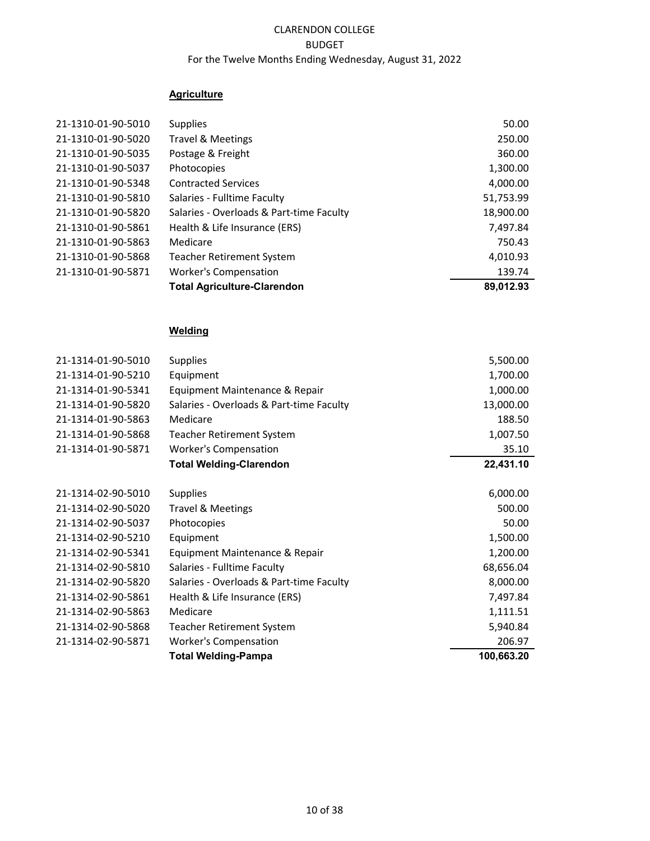## **Agriculture**

| 21-1310-01-90-5010 | <b>Supplies</b>                          | 50.00     |
|--------------------|------------------------------------------|-----------|
| 21-1310-01-90-5020 | <b>Travel &amp; Meetings</b>             | 250.00    |
| 21-1310-01-90-5035 | Postage & Freight                        | 360.00    |
| 21-1310-01-90-5037 | Photocopies                              | 1,300.00  |
| 21-1310-01-90-5348 | <b>Contracted Services</b>               | 4,000.00  |
| 21-1310-01-90-5810 | Salaries - Fulltime Faculty              | 51,753.99 |
| 21-1310-01-90-5820 | Salaries - Overloads & Part-time Faculty | 18,900.00 |
| 21-1310-01-90-5861 | Health & Life Insurance (ERS)            | 7,497.84  |
| 21-1310-01-90-5863 | Medicare                                 | 750.43    |
| 21-1310-01-90-5868 | <b>Teacher Retirement System</b>         | 4,010.93  |
| 21-1310-01-90-5871 | <b>Worker's Compensation</b>             | 139.74    |
|                    | <b>Total Agriculture-Clarendon</b>       | 89,012.93 |

# **Welding**

| 21-1314-01-90-5010 | <b>Supplies</b>                          | 5,500.00   |
|--------------------|------------------------------------------|------------|
| 21-1314-01-90-5210 | Equipment                                | 1,700.00   |
| 21-1314-01-90-5341 | Equipment Maintenance & Repair           | 1,000.00   |
| 21-1314-01-90-5820 | Salaries - Overloads & Part-time Faculty | 13,000.00  |
| 21-1314-01-90-5863 | Medicare                                 | 188.50     |
| 21-1314-01-90-5868 | <b>Teacher Retirement System</b>         | 1,007.50   |
| 21-1314-01-90-5871 | <b>Worker's Compensation</b>             | 35.10      |
|                    | <b>Total Welding-Clarendon</b>           | 22,431.10  |
| 21-1314-02-90-5010 | <b>Supplies</b>                          | 6,000.00   |
| 21-1314-02-90-5020 | <b>Travel &amp; Meetings</b>             | 500.00     |
| 21-1314-02-90-5037 | Photocopies                              | 50.00      |
| 21-1314-02-90-5210 | Equipment                                | 1,500.00   |
| 21-1314-02-90-5341 | Equipment Maintenance & Repair           | 1,200.00   |
| 21-1314-02-90-5810 | Salaries - Fulltime Faculty              | 68,656.04  |
| 21-1314-02-90-5820 | Salaries - Overloads & Part-time Faculty | 8,000.00   |
| 21-1314-02-90-5861 | Health & Life Insurance (ERS)            | 7,497.84   |
| 21-1314-02-90-5863 | Medicare                                 | 1,111.51   |
| 21-1314-02-90-5868 | Teacher Retirement System                | 5,940.84   |
| 21-1314-02-90-5871 | <b>Worker's Compensation</b>             | 206.97     |
|                    | <b>Total Welding-Pampa</b>               | 100,663.20 |
|                    |                                          |            |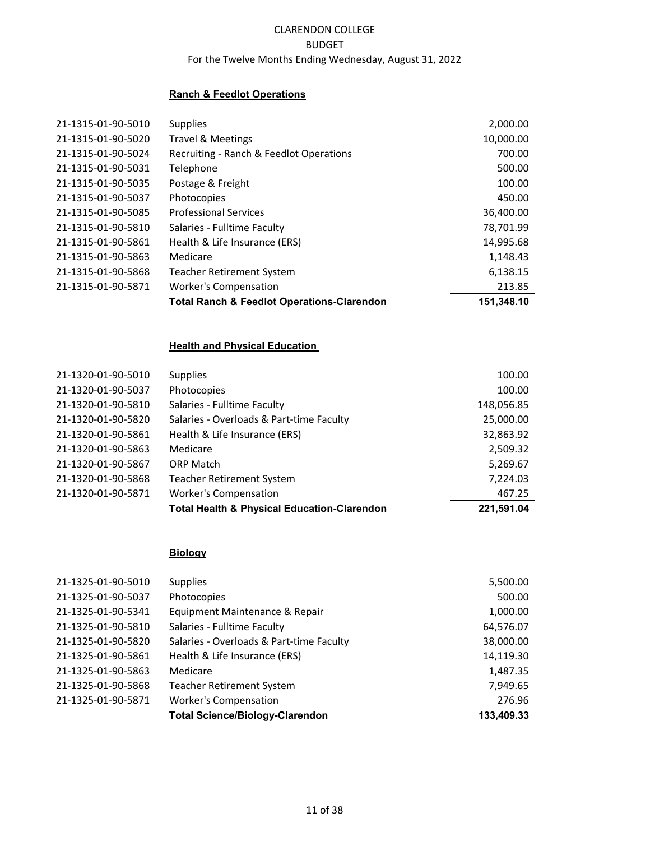## **Ranch & Feedlot Operations**

|                    | <b>Total Ranch &amp; Feedlot Operations-Clarendon</b> | 151.348.10 |
|--------------------|-------------------------------------------------------|------------|
| 21-1315-01-90-5871 | <b>Worker's Compensation</b>                          | 213.85     |
| 21-1315-01-90-5868 | <b>Teacher Retirement System</b>                      | 6,138.15   |
| 21-1315-01-90-5863 | Medicare                                              | 1,148.43   |
| 21-1315-01-90-5861 | Health & Life Insurance (ERS)                         | 14,995.68  |
| 21-1315-01-90-5810 | Salaries - Fulltime Faculty                           | 78,701.99  |
| 21-1315-01-90-5085 | <b>Professional Services</b>                          | 36,400.00  |
| 21-1315-01-90-5037 | Photocopies                                           | 450.00     |
| 21-1315-01-90-5035 | Postage & Freight                                     | 100.00     |
| 21-1315-01-90-5031 | Telephone                                             | 500.00     |
| 21-1315-01-90-5024 | Recruiting - Ranch & Feedlot Operations               | 700.00     |
| 21-1315-01-90-5020 | Travel & Meetings                                     | 10,000.00  |
| 21-1315-01-90-5010 | <b>Supplies</b>                                       | 2,000.00   |
|                    |                                                       |            |

#### **Health and Physical Education**

| 21-1320-01-90-5010 | <b>Supplies</b>                                        | 100.00     |
|--------------------|--------------------------------------------------------|------------|
| 21-1320-01-90-5037 | Photocopies                                            | 100.00     |
| 21-1320-01-90-5810 | Salaries - Fulltime Faculty                            | 148,056.85 |
| 21-1320-01-90-5820 | Salaries - Overloads & Part-time Faculty               | 25,000.00  |
| 21-1320-01-90-5861 | Health & Life Insurance (ERS)                          | 32,863.92  |
| 21-1320-01-90-5863 | Medicare                                               | 2,509.32   |
| 21-1320-01-90-5867 | <b>ORP Match</b>                                       | 5,269.67   |
| 21-1320-01-90-5868 | <b>Teacher Retirement System</b>                       | 7,224.03   |
| 21-1320-01-90-5871 | <b>Worker's Compensation</b>                           | 467.25     |
|                    | <b>Total Health &amp; Physical Education-Clarendon</b> | 221.591.04 |

## **Biology**

| 21-1325-01-90-5010 | <b>Supplies</b>                          | 5,500.00   |
|--------------------|------------------------------------------|------------|
| 21-1325-01-90-5037 | Photocopies                              | 500.00     |
| 21-1325-01-90-5341 | Equipment Maintenance & Repair           | 1,000.00   |
| 21-1325-01-90-5810 | Salaries - Fulltime Faculty              | 64,576.07  |
| 21-1325-01-90-5820 | Salaries - Overloads & Part-time Faculty | 38,000.00  |
| 21-1325-01-90-5861 | Health & Life Insurance (ERS)            | 14,119.30  |
| 21-1325-01-90-5863 | Medicare                                 | 1,487.35   |
| 21-1325-01-90-5868 | <b>Teacher Retirement System</b>         | 7,949.65   |
| 21-1325-01-90-5871 | <b>Worker's Compensation</b>             | 276.96     |
|                    | <b>Total Science/Biology-Clarendon</b>   | 133,409.33 |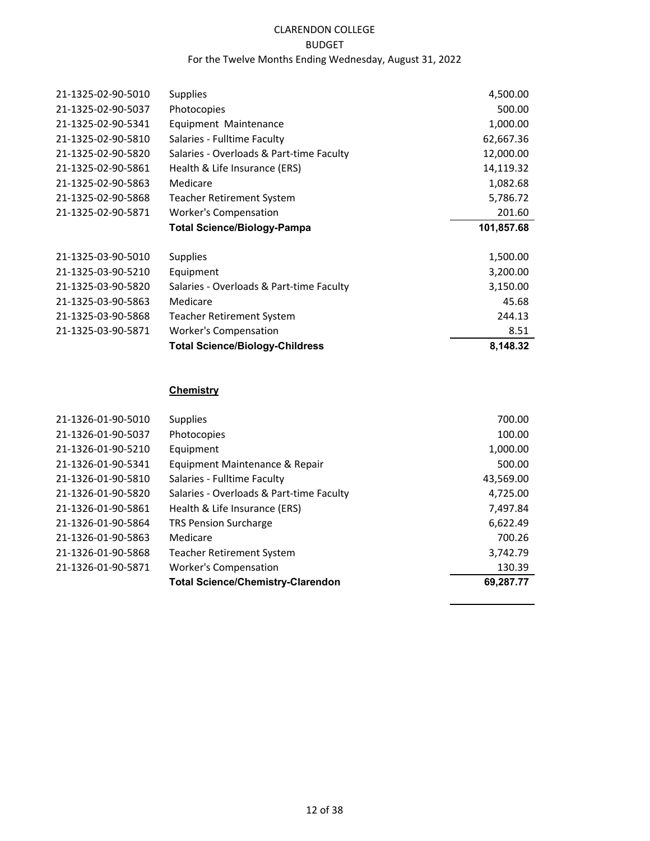# CLARENDON COLLEGE

## BUDGET

# For the Twelve Months Ending Wednesday, August 31, 2022

| 21-1325-02-90-5010 | <b>Supplies</b>                          | 4,500.00   |
|--------------------|------------------------------------------|------------|
| 21-1325-02-90-5037 | Photocopies                              | 500.00     |
| 21-1325-02-90-5341 | Equipment Maintenance                    | 1,000.00   |
| 21-1325-02-90-5810 | Salaries - Fulltime Faculty              | 62,667.36  |
| 21-1325-02-90-5820 | Salaries - Overloads & Part-time Faculty | 12,000.00  |
| 21-1325-02-90-5861 | Health & Life Insurance (ERS)            | 14,119.32  |
| 21-1325-02-90-5863 | Medicare                                 | 1,082.68   |
| 21-1325-02-90-5868 | <b>Teacher Retirement System</b>         | 5,786.72   |
| 21-1325-02-90-5871 | <b>Worker's Compensation</b>             | 201.60     |
|                    | <b>Total Science/Biology-Pampa</b>       | 101,857.68 |
| 21-1325-03-90-5010 | <b>Supplies</b>                          | 1,500.00   |
| 21-1325-03-90-5210 | Equipment                                | 3,200.00   |
| 21-1325-03-90-5820 | Salaries - Overloads & Part-time Faculty | 3,150.00   |
| 21-1325-03-90-5863 | Medicare                                 | 45.68      |
| 21-1325-03-90-5868 | <b>Teacher Retirement System</b>         | 244.13     |
| 21-1325-03-90-5871 | <b>Worker's Compensation</b>             | 8.51       |
|                    | <b>Total Science/Biology-Childress</b>   | 8,148.32   |
|                    |                                          |            |

# **Chemistry**

|                    | <b>Total Science/Chemistry-Clarendon</b> | 69.287.77 |
|--------------------|------------------------------------------|-----------|
| 21-1326-01-90-5871 | <b>Worker's Compensation</b>             | 130.39    |
| 21-1326-01-90-5868 | <b>Teacher Retirement System</b>         | 3,742.79  |
| 21-1326-01-90-5863 | Medicare                                 | 700.26    |
| 21-1326-01-90-5864 | <b>TRS Pension Surcharge</b>             | 6,622.49  |
| 21-1326-01-90-5861 | Health & Life Insurance (ERS)            | 7,497.84  |
| 21-1326-01-90-5820 | Salaries - Overloads & Part-time Faculty | 4,725.00  |
| 21-1326-01-90-5810 | Salaries - Fulltime Faculty              | 43,569.00 |
| 21-1326-01-90-5341 | Equipment Maintenance & Repair           | 500.00    |
| 21-1326-01-90-5210 | Equipment                                | 1,000.00  |
| 21-1326-01-90-5037 | Photocopies                              | 100.00    |
| 21-1326-01-90-5010 | <b>Supplies</b>                          | 700.00    |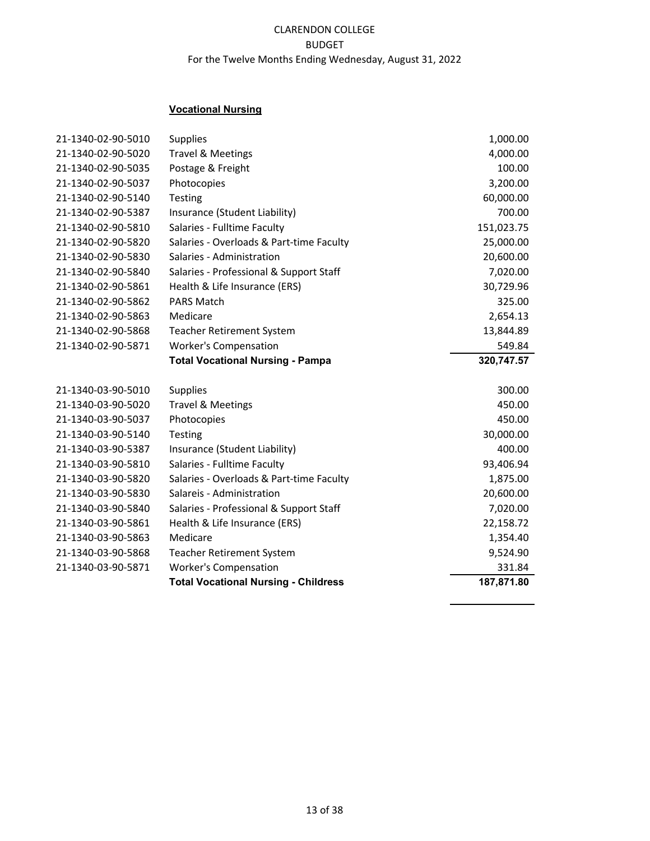# **Vocational Nursing**

| 21-1340-02-90-5010 | <b>Supplies</b>                             | 1,000.00   |
|--------------------|---------------------------------------------|------------|
| 21-1340-02-90-5020 | <b>Travel &amp; Meetings</b>                | 4,000.00   |
| 21-1340-02-90-5035 | Postage & Freight                           | 100.00     |
| 21-1340-02-90-5037 | Photocopies                                 | 3,200.00   |
| 21-1340-02-90-5140 | <b>Testing</b>                              | 60,000.00  |
| 21-1340-02-90-5387 | Insurance (Student Liability)               | 700.00     |
| 21-1340-02-90-5810 | Salaries - Fulltime Faculty                 | 151,023.75 |
| 21-1340-02-90-5820 | Salaries - Overloads & Part-time Faculty    | 25,000.00  |
| 21-1340-02-90-5830 | Salaries - Administration                   | 20,600.00  |
| 21-1340-02-90-5840 | Salaries - Professional & Support Staff     | 7,020.00   |
| 21-1340-02-90-5861 | Health & Life Insurance (ERS)               | 30,729.96  |
| 21-1340-02-90-5862 | <b>PARS Match</b>                           | 325.00     |
| 21-1340-02-90-5863 | Medicare                                    | 2,654.13   |
| 21-1340-02-90-5868 | <b>Teacher Retirement System</b>            | 13,844.89  |
| 21-1340-02-90-5871 | <b>Worker's Compensation</b>                | 549.84     |
|                    | <b>Total Vocational Nursing - Pampa</b>     | 320,747.57 |
|                    |                                             |            |
| 21-1340-03-90-5010 | <b>Supplies</b>                             | 300.00     |
| 21-1340-03-90-5020 | <b>Travel &amp; Meetings</b>                | 450.00     |
| 21-1340-03-90-5037 | Photocopies                                 | 450.00     |
| 21-1340-03-90-5140 | Testing                                     | 30,000.00  |
| 21-1340-03-90-5387 | Insurance (Student Liability)               | 400.00     |
| 21-1340-03-90-5810 | Salaries - Fulltime Faculty                 | 93,406.94  |
| 21-1340-03-90-5820 | Salaries - Overloads & Part-time Faculty    | 1,875.00   |
| 21-1340-03-90-5830 | Salareis - Administration                   | 20,600.00  |
| 21-1340-03-90-5840 | Salaries - Professional & Support Staff     | 7,020.00   |
| 21-1340-03-90-5861 | Health & Life Insurance (ERS)               | 22,158.72  |
| 21-1340-03-90-5863 | Medicare                                    | 1,354.40   |
| 21-1340-03-90-5868 | <b>Teacher Retirement System</b>            | 9,524.90   |
| 21-1340-03-90-5871 | <b>Worker's Compensation</b>                | 331.84     |
|                    | <b>Total Vocational Nursing - Childress</b> | 187,871.80 |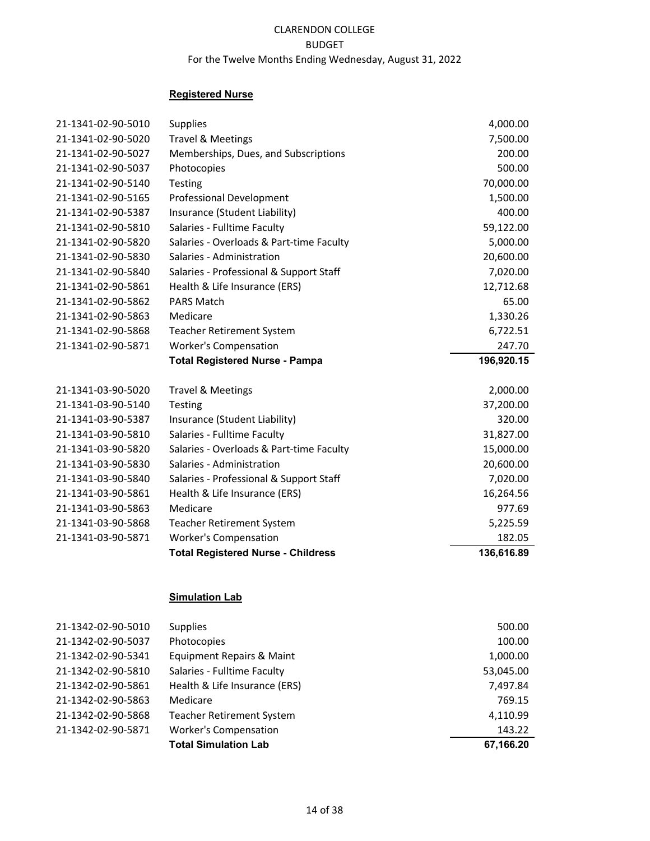## **Registered Nurse**

| 21-1341-02-90-5010 | <b>Supplies</b>                          | 4,000.00   |
|--------------------|------------------------------------------|------------|
| 21-1341-02-90-5020 | <b>Travel &amp; Meetings</b>             | 7,500.00   |
| 21-1341-02-90-5027 | Memberships, Dues, and Subscriptions     | 200.00     |
| 21-1341-02-90-5037 | Photocopies                              | 500.00     |
| 21-1341-02-90-5140 | <b>Testing</b>                           | 70,000.00  |
| 21-1341-02-90-5165 | <b>Professional Development</b>          | 1,500.00   |
| 21-1341-02-90-5387 | Insurance (Student Liability)            | 400.00     |
| 21-1341-02-90-5810 | Salaries - Fulltime Faculty              | 59,122.00  |
| 21-1341-02-90-5820 | Salaries - Overloads & Part-time Faculty | 5,000.00   |
| 21-1341-02-90-5830 | Salaries - Administration                | 20,600.00  |
| 21-1341-02-90-5840 | Salaries - Professional & Support Staff  | 7,020.00   |
| 21-1341-02-90-5861 | Health & Life Insurance (ERS)            | 12,712.68  |
| 21-1341-02-90-5862 | <b>PARS Match</b>                        | 65.00      |
| 21-1341-02-90-5863 | Medicare                                 | 1,330.26   |
| 21-1341-02-90-5868 | <b>Teacher Retirement System</b>         | 6,722.51   |
| 21-1341-02-90-5871 | <b>Worker's Compensation</b>             | 247.70     |
|                    | <b>Total Registered Nurse - Pampa</b>    | 196,920.15 |
| 21-1341-03-90-5020 | <b>Travel &amp; Meetings</b>             | 2,000.00   |
| 21-1341-03-90-5140 | Testing                                  | 37,200.00  |
| 21-1341-03-90-5387 | Insurance (Student Liability)            | 320.00     |
| 21-1341-03-90-5810 | Salaries - Fulltime Faculty              | 31,827.00  |
| 21-1341-03-90-5820 | Salaries - Overloads & Part-time Faculty | 15,000.00  |
| 21-1341-03-90-5830 | Salaries - Administration                | 20,600.00  |
| 21-1341-03-90-5840 | Salaries - Professional & Support Staff  | 7,020.00   |
| 21-1341-03-90-5861 | Health & Life Insurance (ERS)            | 16,264.56  |
|                    |                                          |            |
| 21-1341-03-90-5863 | Medicare                                 | 977.69     |
| 21-1341-03-90-5868 | <b>Teacher Retirement System</b>         | 5,225.59   |
| 21-1341-03-90-5871 | <b>Worker's Compensation</b>             | 182.05     |

# **Simulation Lab**

| 21-1342-02-90-5871 | <b>Worker's Compensation</b><br><b>Total Simulation Lab</b> | 143.22<br>67,166.20 |
|--------------------|-------------------------------------------------------------|---------------------|
| 21-1342-02-90-5868 | <b>Teacher Retirement System</b>                            | 4,110.99            |
| 21-1342-02-90-5863 | Medicare                                                    | 769.15              |
| 21-1342-02-90-5861 | Health & Life Insurance (ERS)                               | 7,497.84            |
| 21-1342-02-90-5810 | Salaries - Fulltime Faculty                                 | 53,045.00           |
| 21-1342-02-90-5341 | Equipment Repairs & Maint                                   | 1,000.00            |
| 21-1342-02-90-5037 | Photocopies                                                 | 100.00              |
| 21-1342-02-90-5010 | <b>Supplies</b>                                             | 500.00              |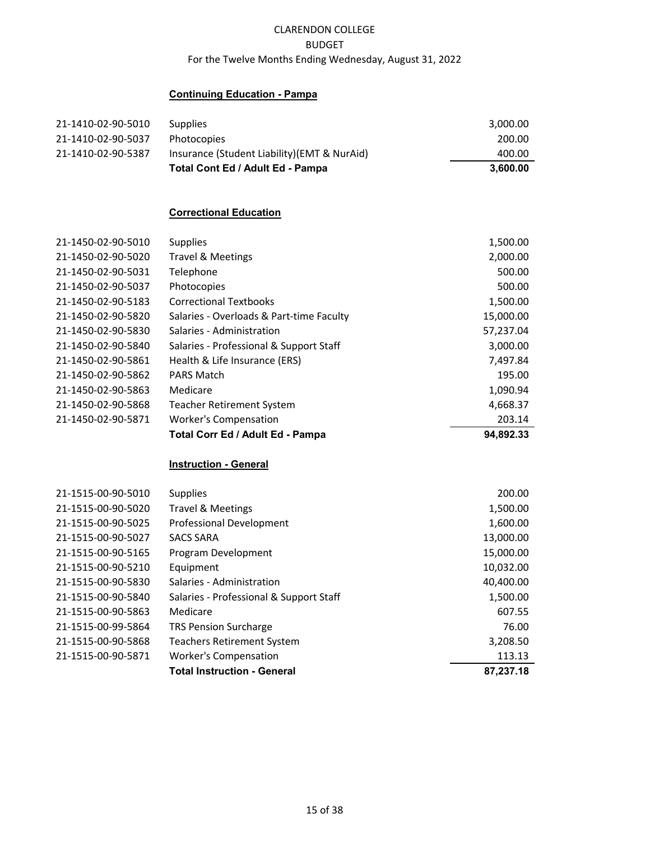## **Continuing Education - Pampa**

| 21-1410-02-90-5010 | <b>Supplies</b>                             | 3,000.00 |
|--------------------|---------------------------------------------|----------|
| 21-1410-02-90-5037 | Photocopies                                 | 200.00   |
| 21-1410-02-90-5387 | Insurance (Student Liability)(EMT & NurAid) | 400.00   |
|                    | Total Cont Ed / Adult Ed - Pampa            | 3.600.00 |

# **Correctional Education**

|                    | Total Corr Ed / Adult Ed - Pampa         | 94.892.33 |
|--------------------|------------------------------------------|-----------|
| 21-1450-02-90-5871 | <b>Worker's Compensation</b>             | 203.14    |
| 21-1450-02-90-5868 | <b>Teacher Retirement System</b>         | 4,668.37  |
| 21-1450-02-90-5863 | Medicare                                 | 1,090.94  |
| 21-1450-02-90-5862 | <b>PARS Match</b>                        | 195.00    |
| 21-1450-02-90-5861 | Health & Life Insurance (ERS)            | 7,497.84  |
| 21-1450-02-90-5840 | Salaries - Professional & Support Staff  | 3,000.00  |
| 21-1450-02-90-5830 | Salaries - Administration                | 57,237.04 |
| 21-1450-02-90-5820 | Salaries - Overloads & Part-time Faculty | 15,000.00 |
| 21-1450-02-90-5183 | <b>Correctional Textbooks</b>            | 1,500.00  |
| 21-1450-02-90-5037 | Photocopies                              | 500.00    |
| 21-1450-02-90-5031 | Telephone                                | 500.00    |
| 21-1450-02-90-5020 | Travel & Meetings                        | 2,000.00  |
| 21-1450-02-90-5010 | <b>Supplies</b>                          | 1,500.00  |

#### **Instruction - General**

|                    | <b>Total Instruction - General</b>      | 87,237.18 |
|--------------------|-----------------------------------------|-----------|
| 21-1515-00-90-5871 | <b>Worker's Compensation</b>            | 113.13    |
| 21-1515-00-90-5868 | <b>Teachers Retirement System</b>       | 3,208.50  |
| 21-1515-00-99-5864 | <b>TRS Pension Surcharge</b>            | 76.00     |
| 21-1515-00-90-5863 | Medicare                                | 607.55    |
| 21-1515-00-90-5840 | Salaries - Professional & Support Staff | 1,500.00  |
| 21-1515-00-90-5830 | Salaries - Administration               | 40,400.00 |
| 21-1515-00-90-5210 | Equipment                               | 10,032.00 |
| 21-1515-00-90-5165 | Program Development                     | 15,000.00 |
| 21-1515-00-90-5027 | <b>SACS SARA</b>                        | 13,000.00 |
| 21-1515-00-90-5025 | <b>Professional Development</b>         | 1,600.00  |
| 21-1515-00-90-5020 | <b>Travel &amp; Meetings</b>            | 1,500.00  |
| 21-1515-00-90-5010 | <b>Supplies</b>                         | 200.00    |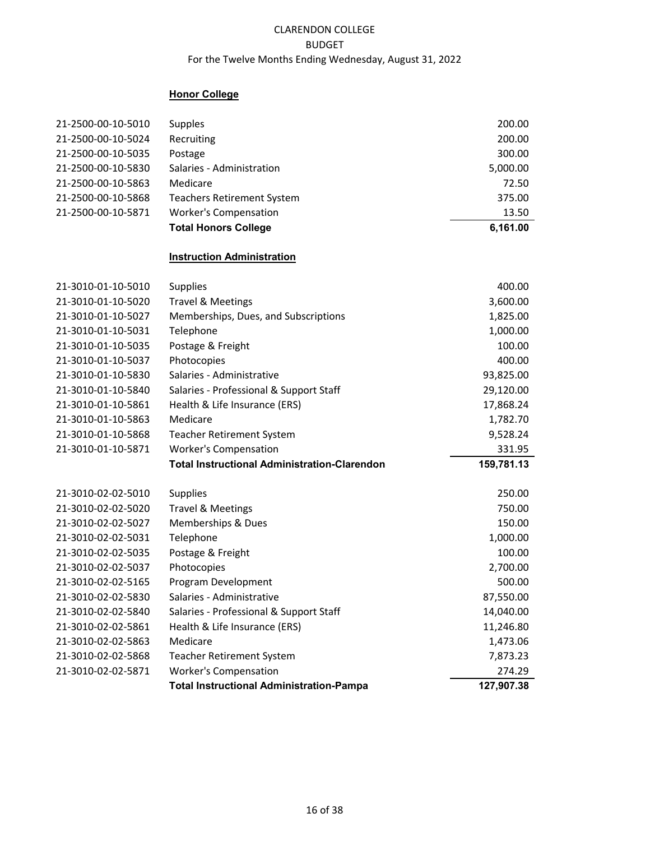# **Honor College**

|                                          | <b>Total Instructional Administration-Pampa</b>     | 127,907.38       |
|------------------------------------------|-----------------------------------------------------|------------------|
| 21-3010-02-02-5871                       | <b>Worker's Compensation</b>                        | 274.29           |
| 21-3010-02-02-5868                       | <b>Teacher Retirement System</b>                    | 7,873.23         |
| 21-3010-02-02-5863                       | Medicare                                            | 1,473.06         |
| 21-3010-02-02-5861                       | Health & Life Insurance (ERS)                       | 11,246.80        |
| 21-3010-02-02-5840                       | Salaries - Professional & Support Staff             | 14,040.00        |
| 21-3010-02-02-5830                       | Salaries - Administrative                           | 87,550.00        |
| 21-3010-02-02-5165                       | Program Development                                 | 500.00           |
| 21-3010-02-02-5037                       | Photocopies                                         | 2,700.00         |
| 21-3010-02-02-5035                       | Postage & Freight                                   | 100.00           |
| 21-3010-02-02-5031                       | Telephone                                           | 1,000.00         |
| 21-3010-02-02-5027                       | Memberships & Dues                                  | 150.00           |
| 21-3010-02-02-5010<br>21-3010-02-02-5020 | <b>Supplies</b><br><b>Travel &amp; Meetings</b>     | 250.00<br>750.00 |
|                                          |                                                     |                  |
|                                          | <b>Total Instructional Administration-Clarendon</b> | 159,781.13       |
| 21-3010-01-10-5871                       | <b>Worker's Compensation</b>                        | 331.95           |
| 21-3010-01-10-5868                       | <b>Teacher Retirement System</b>                    | 9,528.24         |
| 21-3010-01-10-5863                       | Medicare                                            | 1,782.70         |
| 21-3010-01-10-5861                       | Health & Life Insurance (ERS)                       | 17,868.24        |
| 21-3010-01-10-5840                       | Salaries - Professional & Support Staff             | 29,120.00        |
| 21-3010-01-10-5830                       | Salaries - Administrative                           | 93,825.00        |
| 21-3010-01-10-5037                       | Photocopies                                         | 400.00           |
| 21-3010-01-10-5035                       | Postage & Freight                                   | 100.00           |
| 21-3010-01-10-5031                       | Telephone                                           | 1,000.00         |
| 21-3010-01-10-5027                       | Memberships, Dues, and Subscriptions                | 1,825.00         |
| 21-3010-01-10-5020                       | <b>Travel &amp; Meetings</b>                        | 3,600.00         |
| 21-3010-01-10-5010                       | <b>Supplies</b>                                     | 400.00           |
|                                          | <b>Instruction Administration</b>                   |                  |
|                                          | <b>Total Honors College</b>                         | 6,161.00         |
| 21-2500-00-10-5871                       | <b>Worker's Compensation</b>                        | 13.50            |
| 21-2500-00-10-5868                       | <b>Teachers Retirement System</b>                   | 375.00           |
| 21-2500-00-10-5863                       | Medicare                                            | 72.50            |
| 21-2500-00-10-5830                       | Salaries - Administration                           | 5,000.00         |
| 21-2500-00-10-5035                       | Postage                                             | 300.00           |
| 21-2500-00-10-5024                       | Recruiting                                          | 200.00           |
| 21-2500-00-10-5010                       | Supples                                             | 200.00           |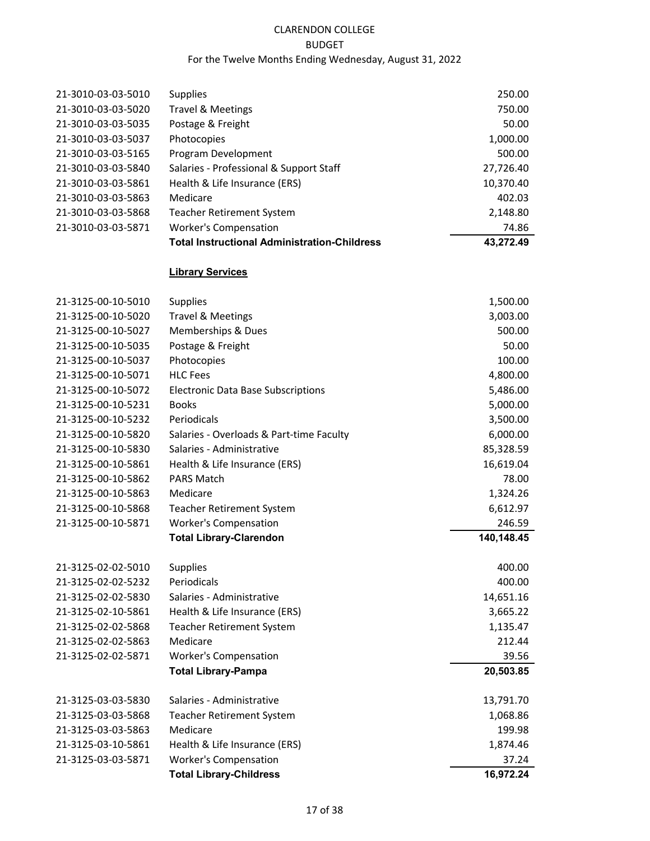# CLARENDON COLLEGE

## BUDGET

# For the Twelve Months Ending Wednesday, August 31, 2022

|                    | <b>Total Instructional Administration-Childress</b> | 43,272.49 |
|--------------------|-----------------------------------------------------|-----------|
| 21-3010-03-03-5871 | <b>Worker's Compensation</b>                        | 74.86     |
| 21-3010-03-03-5868 | <b>Teacher Retirement System</b>                    | 2,148.80  |
| 21-3010-03-03-5863 | Medicare                                            | 402.03    |
| 21-3010-03-03-5861 | Health & Life Insurance (ERS)                       | 10,370.40 |
| 21-3010-03-03-5840 | Salaries - Professional & Support Staff             | 27,726.40 |
| 21-3010-03-03-5165 | Program Development                                 | 500.00    |
| 21-3010-03-03-5037 | Photocopies                                         | 1,000.00  |
| 21-3010-03-03-5035 | Postage & Freight                                   | 50.00     |
| 21-3010-03-03-5020 | <b>Travel &amp; Meetings</b>                        | 750.00    |
| 21-3010-03-03-5010 | <b>Supplies</b>                                     | 250.00    |
|                    |                                                     |           |

# **Library Services**

| 21-3125-00-10-5010 | <b>Supplies</b>                           | 1,500.00   |
|--------------------|-------------------------------------------|------------|
| 21-3125-00-10-5020 | <b>Travel &amp; Meetings</b>              | 3,003.00   |
| 21-3125-00-10-5027 | Memberships & Dues                        | 500.00     |
| 21-3125-00-10-5035 | Postage & Freight                         | 50.00      |
| 21-3125-00-10-5037 | Photocopies                               | 100.00     |
| 21-3125-00-10-5071 | <b>HLC Fees</b>                           | 4,800.00   |
| 21-3125-00-10-5072 | <b>Electronic Data Base Subscriptions</b> | 5,486.00   |
| 21-3125-00-10-5231 | <b>Books</b>                              | 5,000.00   |
| 21-3125-00-10-5232 | Periodicals                               | 3,500.00   |
| 21-3125-00-10-5820 | Salaries - Overloads & Part-time Faculty  | 6,000.00   |
| 21-3125-00-10-5830 | Salaries - Administrative                 | 85,328.59  |
| 21-3125-00-10-5861 | Health & Life Insurance (ERS)             | 16,619.04  |
| 21-3125-00-10-5862 | <b>PARS Match</b>                         | 78.00      |
| 21-3125-00-10-5863 | Medicare                                  | 1,324.26   |
| 21-3125-00-10-5868 | Teacher Retirement System                 | 6,612.97   |
| 21-3125-00-10-5871 | <b>Worker's Compensation</b>              | 246.59     |
|                    | <b>Total Library-Clarendon</b>            | 140,148.45 |
| 21-3125-02-02-5010 | <b>Supplies</b>                           | 400.00     |
| 21-3125-02-02-5232 | Periodicals                               | 400.00     |
| 21-3125-02-02-5830 | Salaries - Administrative                 | 14,651.16  |
| 21-3125-02-10-5861 | Health & Life Insurance (ERS)             | 3,665.22   |
| 21-3125-02-02-5868 | Teacher Retirement System                 | 1,135.47   |
| 21-3125-02-02-5863 | Medicare                                  | 212.44     |
| 21-3125-02-02-5871 | <b>Worker's Compensation</b>              | 39.56      |
|                    | <b>Total Library-Pampa</b>                | 20,503.85  |
| 21-3125-03-03-5830 | Salaries - Administrative                 | 13,791.70  |
| 21-3125-03-03-5868 | <b>Teacher Retirement System</b>          | 1,068.86   |
| 21-3125-03-03-5863 | Medicare                                  | 199.98     |
| 21-3125-03-10-5861 | Health & Life Insurance (ERS)             | 1,874.46   |
| 21-3125-03-03-5871 | <b>Worker's Compensation</b>              | 37.24      |
|                    | <b>Total Library-Childress</b>            | 16,972.24  |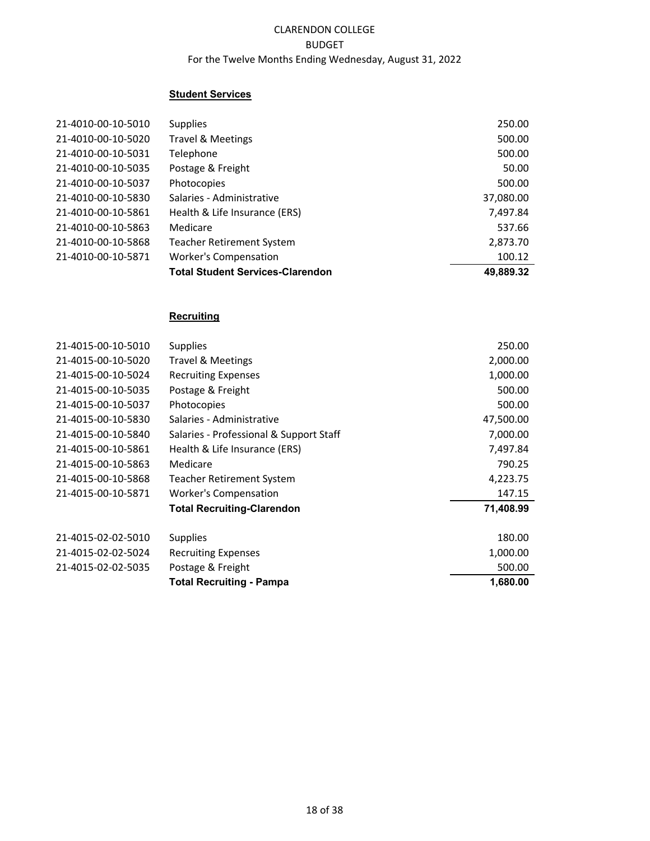## **Student Services**

| 21-4010-00-10-5010 | <b>Supplies</b>                         | 250.00    |
|--------------------|-----------------------------------------|-----------|
| 21-4010-00-10-5020 | Travel & Meetings                       | 500.00    |
| 21-4010-00-10-5031 | Telephone                               | 500.00    |
| 21-4010-00-10-5035 | Postage & Freight                       | 50.00     |
| 21-4010-00-10-5037 | Photocopies                             | 500.00    |
| 21-4010-00-10-5830 | Salaries - Administrative               | 37,080.00 |
| 21-4010-00-10-5861 | Health & Life Insurance (ERS)           | 7,497.84  |
| 21-4010-00-10-5863 | Medicare                                | 537.66    |
| 21-4010-00-10-5868 | <b>Teacher Retirement System</b>        | 2,873.70  |
| 21-4010-00-10-5871 | <b>Worker's Compensation</b>            | 100.12    |
|                    | <b>Total Student Services-Clarendon</b> | 49,889.32 |

# **Recruiting**

| 21-4015-00-10-5010 | <b>Supplies</b>                         | 250.00    |
|--------------------|-----------------------------------------|-----------|
| 21-4015-00-10-5020 | Travel & Meetings                       | 2,000.00  |
| 21-4015-00-10-5024 | <b>Recruiting Expenses</b>              | 1,000.00  |
| 21-4015-00-10-5035 | Postage & Freight                       | 500.00    |
| 21-4015-00-10-5037 | Photocopies                             | 500.00    |
| 21-4015-00-10-5830 | Salaries - Administrative               | 47,500.00 |
| 21-4015-00-10-5840 | Salaries - Professional & Support Staff | 7,000.00  |
| 21-4015-00-10-5861 | Health & Life Insurance (ERS)           | 7,497.84  |
| 21-4015-00-10-5863 | Medicare                                | 790.25    |
| 21-4015-00-10-5868 | Teacher Retirement System               | 4,223.75  |
| 21-4015-00-10-5871 | <b>Worker's Compensation</b>            | 147.15    |
|                    | <b>Total Recruiting-Clarendon</b>       | 71,408.99 |
| 21-4015-02-02-5010 | <b>Supplies</b>                         | 180.00    |
| 21-4015-02-02-5024 | <b>Recruiting Expenses</b>              | 1,000.00  |
| 21-4015-02-02-5035 | Postage & Freight                       | 500.00    |
|                    | <b>Total Recruiting - Pampa</b>         | 1,680.00  |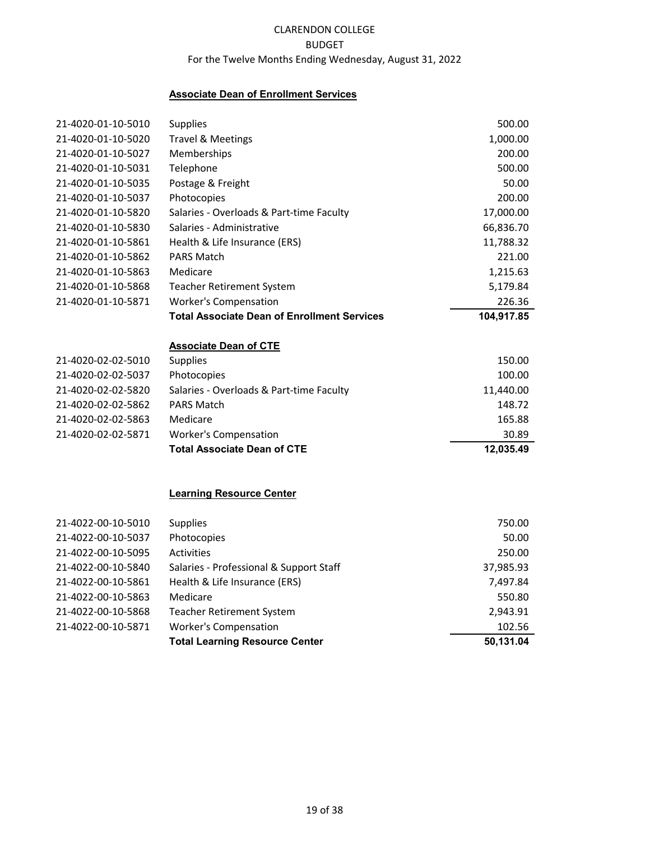### **Associate Dean of Enrollment Services**

| 21-4020-01-10-5010 | Supplies                                                           | 500.00     |
|--------------------|--------------------------------------------------------------------|------------|
| 21-4020-01-10-5020 | <b>Travel &amp; Meetings</b>                                       | 1,000.00   |
| 21-4020-01-10-5027 | Memberships                                                        | 200.00     |
| 21-4020-01-10-5031 | Telephone                                                          | 500.00     |
| 21-4020-01-10-5035 | Postage & Freight                                                  | 50.00      |
| 21-4020-01-10-5037 | Photocopies                                                        | 200.00     |
| 21-4020-01-10-5820 | Salaries - Overloads & Part-time Faculty                           | 17,000.00  |
| 21-4020-01-10-5830 | Salaries - Administrative                                          | 66,836.70  |
| 21-4020-01-10-5861 | Health & Life Insurance (ERS)                                      | 11,788.32  |
| 21-4020-01-10-5862 | <b>PARS Match</b>                                                  | 221.00     |
| 21-4020-01-10-5863 | Medicare                                                           | 1,215.63   |
| 21-4020-01-10-5868 | <b>Teacher Retirement System</b>                                   | 5,179.84   |
| 21-4020-01-10-5871 | <b>Worker's Compensation</b>                                       | 226.36     |
|                    | <b>Total Associate Dean of Enrollment Services</b>                 | 104,917.85 |
|                    | <b>Associate Dean of CTE</b>                                       |            |
| 21-4020-02-02-5010 | Supplies                                                           | 150.00     |
| 21-4020-02-02-5037 | Photocopies                                                        | 100.00     |
| 21-4020-02-02-5820 | Salaries - Overloads & Part-time Faculty                           | 11,440.00  |
| 21-4020-02-02-5862 | <b>PARS Match</b>                                                  | 148.72     |
| 21-4020-02-02-5863 | Medicare                                                           | 165.88     |
|                    |                                                                    |            |
| 21-4020-02-02-5871 | <b>Worker's Compensation</b><br><b>Total Associate Dean of CTE</b> | 30.89      |
|                    |                                                                    | 12,035.49  |
|                    |                                                                    |            |
|                    | <b>Learning Resource Center</b>                                    |            |
| 21-4022-00-10-5010 | Supplies                                                           | 750.00     |
| 21-4022-00-10-5037 | Photocopies                                                        | 50.00      |
| 21-4022-00-10-5095 | Activities                                                         | 250.00     |
| 21-4022-00-10-5840 | Salaries - Professional & Support Staff                            | 37,985.93  |
| 21-4022-00-10-5861 | Health & Life Insurance (ERS)                                      | 7,497.84   |
| 21-4022-00-10-5863 | Medicare                                                           | 550.80     |
| 21-4022-00-10-5868 | <b>Teacher Retirement System</b>                                   | 2,943.91   |

21-4022-00-10-5871 Worker's Compensation 102.56

**Total Learning Resource Center 50,131.04**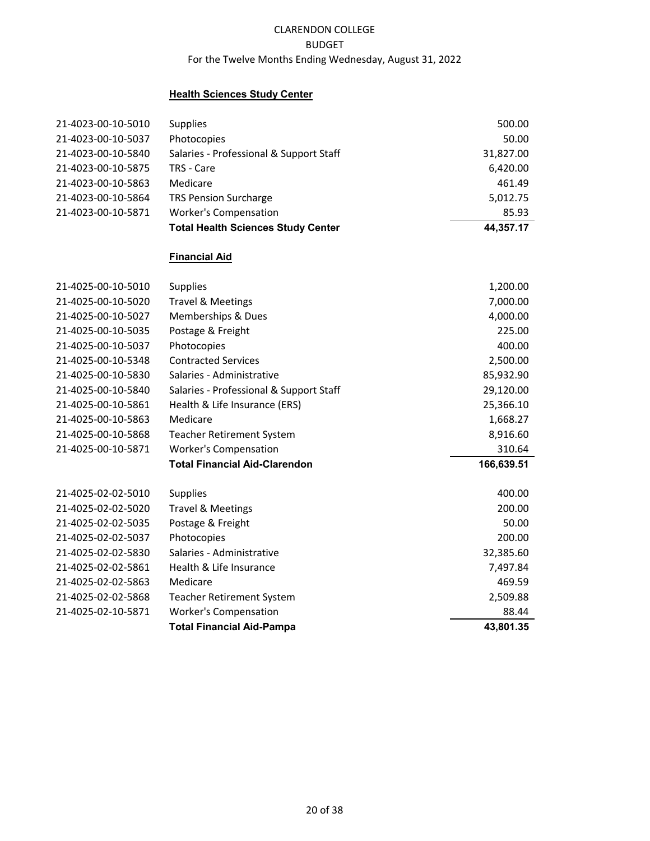## **Health Sciences Study Center**

| <b>Total Health Sciences Study Center</b> | 44,357.17 |
|-------------------------------------------|-----------|
| <b>Worker's Compensation</b>              | 85.93     |
| <b>TRS Pension Surcharge</b>              | 5,012.75  |
| Medicare                                  | 461.49    |
| TRS - Care                                | 6,420.00  |
| Salaries - Professional & Support Staff   | 31,827.00 |
| Photocopies                               | 50.00     |
| <b>Supplies</b>                           | 500.00    |
|                                           |           |

# **Financial Aid**

| 21-4025-00-10-5010 | <b>Supplies</b>                                 | 1,200.00   |
|--------------------|-------------------------------------------------|------------|
| 21-4025-00-10-5020 | <b>Travel &amp; Meetings</b>                    | 7,000.00   |
| 21-4025-00-10-5027 | Memberships & Dues                              | 4,000.00   |
| 21-4025-00-10-5035 | Postage & Freight                               | 225.00     |
| 21-4025-00-10-5037 | Photocopies                                     | 400.00     |
| 21-4025-00-10-5348 | <b>Contracted Services</b>                      | 2,500.00   |
| 21-4025-00-10-5830 | Salaries - Administrative                       | 85,932.90  |
| 21-4025-00-10-5840 | Salaries - Professional & Support Staff         | 29,120.00  |
| 21-4025-00-10-5861 | Health & Life Insurance (ERS)                   | 25,366.10  |
| 21-4025-00-10-5863 | Medicare                                        | 1,668.27   |
| 21-4025-00-10-5868 | Teacher Retirement System                       | 8,916.60   |
| 21-4025-00-10-5871 | <b>Worker's Compensation</b>                    | 310.64     |
|                    |                                                 |            |
|                    | <b>Total Financial Aid-Clarendon</b>            | 166,639.51 |
| 21-4025-02-02-5010 |                                                 | 400.00     |
| 21-4025-02-02-5020 | <b>Supplies</b><br><b>Travel &amp; Meetings</b> | 200.00     |
| 21-4025-02-02-5035 | Postage & Freight                               | 50.00      |
| 21-4025-02-02-5037 | Photocopies                                     | 200.00     |
| 21-4025-02-02-5830 | Salaries - Administrative                       | 32,385.60  |
| 21-4025-02-02-5861 | Health & Life Insurance                         | 7,497.84   |
| 21-4025-02-02-5863 | Medicare                                        | 469.59     |
| 21-4025-02-02-5868 | Teacher Retirement System                       | 2,509.88   |
| 21-4025-02-10-5871 | <b>Worker's Compensation</b>                    | 88.44      |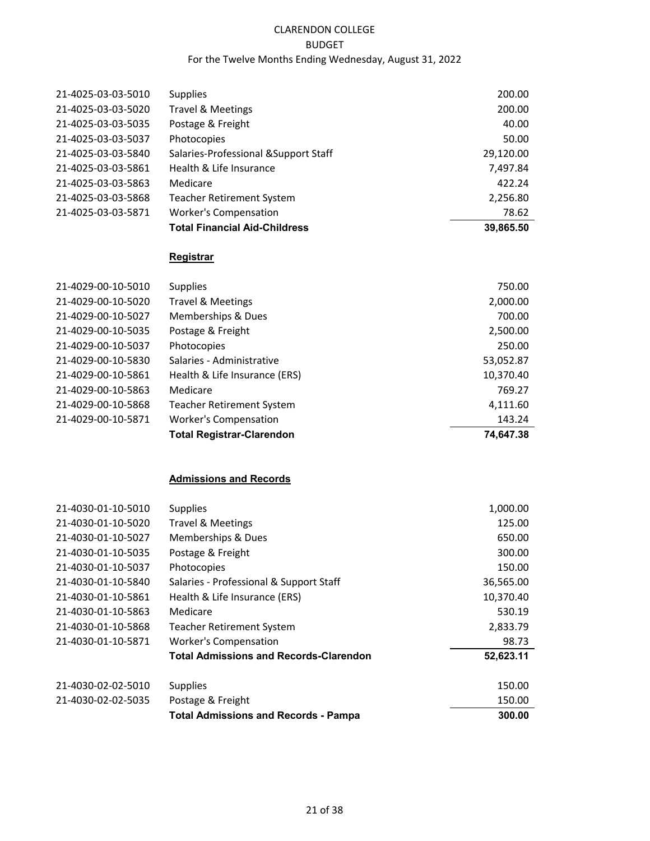|                    | <b>Total Financial Aid-Childress</b>  | 39,865.50 |
|--------------------|---------------------------------------|-----------|
| 21-4025-03-03-5871 | <b>Worker's Compensation</b>          | 78.62     |
| 21-4025-03-03-5868 | <b>Teacher Retirement System</b>      | 2,256.80  |
| 21-4025-03-03-5863 | Medicare                              | 422.24    |
| 21-4025-03-03-5861 | Health & Life Insurance               | 7,497.84  |
| 21-4025-03-03-5840 | Salaries-Professional & Support Staff | 29,120.00 |
| 21-4025-03-03-5037 | Photocopies                           | 50.00     |
| 21-4025-03-03-5035 | Postage & Freight                     | 40.00     |
| 21-4025-03-03-5020 | <b>Travel &amp; Meetings</b>          | 200.00    |
| 21-4025-03-03-5010 | <b>Supplies</b>                       | 200.00    |
|                    |                                       |           |

### **Registrar**

|                    | <b>Total Registrar-Clarendon</b> | 74.647.38 |
|--------------------|----------------------------------|-----------|
| 21-4029-00-10-5871 | <b>Worker's Compensation</b>     | 143.24    |
| 21-4029-00-10-5868 | <b>Teacher Retirement System</b> | 4,111.60  |
| 21-4029-00-10-5863 | Medicare                         | 769.27    |
| 21-4029-00-10-5861 | Health & Life Insurance (ERS)    | 10,370.40 |
| 21-4029-00-10-5830 | Salaries - Administrative        | 53,052.87 |
| 21-4029-00-10-5037 | Photocopies                      | 250.00    |
| 21-4029-00-10-5035 | Postage & Freight                | 2,500.00  |
| 21-4029-00-10-5027 | <b>Memberships &amp; Dues</b>    | 700.00    |
| 21-4029-00-10-5020 | Travel & Meetings                | 2,000.00  |
| 21-4029-00-10-5010 | <b>Supplies</b>                  | 750.00    |

# **Admissions and Records**

| 21-4030-01-10-5010 | <b>Supplies</b>                               | 1,000.00  |
|--------------------|-----------------------------------------------|-----------|
| 21-4030-01-10-5020 | <b>Travel &amp; Meetings</b>                  | 125.00    |
| 21-4030-01-10-5027 | Memberships & Dues                            | 650.00    |
| 21-4030-01-10-5035 | Postage & Freight                             | 300.00    |
| 21-4030-01-10-5037 | Photocopies                                   | 150.00    |
| 21-4030-01-10-5840 | Salaries - Professional & Support Staff       | 36,565.00 |
| 21-4030-01-10-5861 | Health & Life Insurance (ERS)                 | 10,370.40 |
| 21-4030-01-10-5863 | Medicare                                      | 530.19    |
| 21-4030-01-10-5868 | <b>Teacher Retirement System</b>              | 2,833.79  |
| 21-4030-01-10-5871 | <b>Worker's Compensation</b>                  | 98.73     |
|                    | <b>Total Admissions and Records-Clarendon</b> | 52,623.11 |
| 21-4030-02-02-5010 | <b>Supplies</b>                               | 150.00    |
| 21-4030-02-02-5035 | Postage & Freight                             | 150.00    |
|                    | <b>Total Admissions and Records - Pampa</b>   | 300.00    |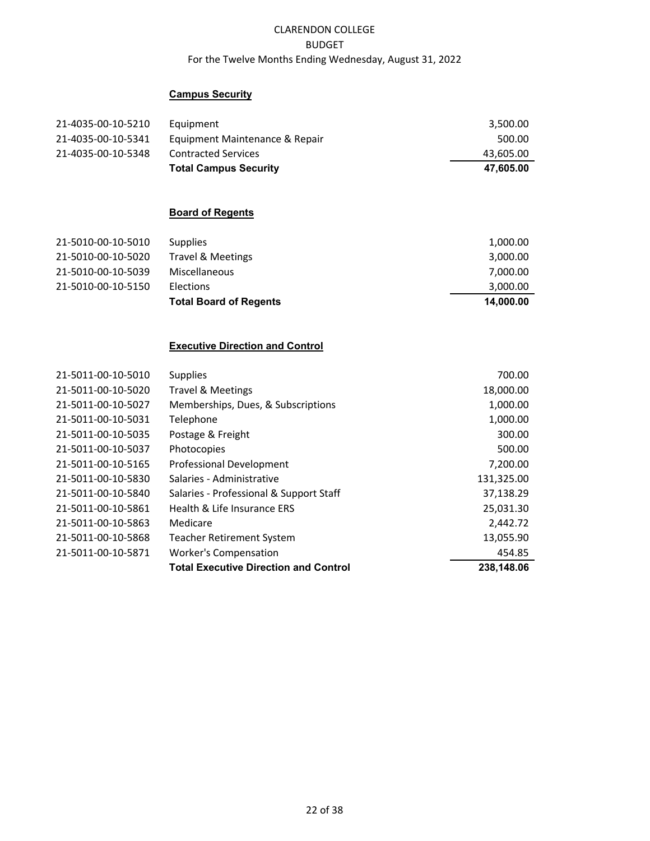## **Campus Security**

| 21-4035-00-10-5210 | Equipment                      | 3.500.00  |
|--------------------|--------------------------------|-----------|
| 21-4035-00-10-5341 | Equipment Maintenance & Repair | 500.00    |
| 21-4035-00-10-5348 | <b>Contracted Services</b>     | 43,605.00 |
|                    | <b>Total Campus Security</b>   | 47.605.00 |

# **Board of Regents**

| 21-5010-00-10-5010 | <b>Supplies</b>               | 1,000.00  |
|--------------------|-------------------------------|-----------|
| 21-5010-00-10-5020 | Travel & Meetings             | 3,000.00  |
| 21-5010-00-10-5039 | Miscellaneous                 | 7,000.00  |
| 21-5010-00-10-5150 | Elections                     | 3,000.00  |
|                    | <b>Total Board of Regents</b> | 14.000.00 |

#### **Executive Direction and Control**

| 21-5011-00-10-5010 | <b>Supplies</b>                              | 700.00     |
|--------------------|----------------------------------------------|------------|
| 21-5011-00-10-5020 | <b>Travel &amp; Meetings</b>                 | 18,000.00  |
| 21-5011-00-10-5027 | Memberships, Dues, & Subscriptions           | 1,000.00   |
| 21-5011-00-10-5031 | Telephone                                    | 1,000.00   |
| 21-5011-00-10-5035 | Postage & Freight                            | 300.00     |
| 21-5011-00-10-5037 | Photocopies                                  | 500.00     |
| 21-5011-00-10-5165 | <b>Professional Development</b>              | 7,200.00   |
| 21-5011-00-10-5830 | Salaries - Administrative                    | 131,325.00 |
| 21-5011-00-10-5840 | Salaries - Professional & Support Staff      | 37,138.29  |
| 21-5011-00-10-5861 | Health & Life Insurance ERS                  | 25,031.30  |
| 21-5011-00-10-5863 | Medicare                                     | 2,442.72   |
| 21-5011-00-10-5868 | <b>Teacher Retirement System</b>             | 13,055.90  |
| 21-5011-00-10-5871 | <b>Worker's Compensation</b>                 | 454.85     |
|                    | <b>Total Executive Direction and Control</b> | 238.148.06 |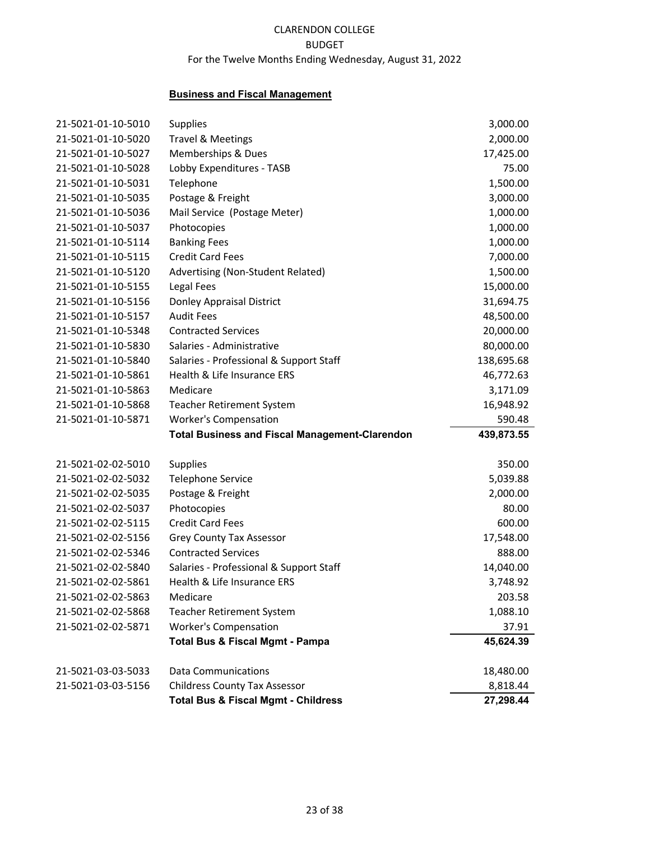#### **Business and Fiscal Management**

| 21-5021-01-10-5010 | <b>Supplies</b>                                       | 3,000.00   |
|--------------------|-------------------------------------------------------|------------|
| 21-5021-01-10-5020 | <b>Travel &amp; Meetings</b>                          | 2,000.00   |
| 21-5021-01-10-5027 | Memberships & Dues                                    | 17,425.00  |
| 21-5021-01-10-5028 | Lobby Expenditures - TASB                             | 75.00      |
| 21-5021-01-10-5031 | Telephone                                             | 1,500.00   |
| 21-5021-01-10-5035 | Postage & Freight                                     | 3,000.00   |
| 21-5021-01-10-5036 | Mail Service (Postage Meter)                          | 1,000.00   |
| 21-5021-01-10-5037 | Photocopies                                           | 1,000.00   |
| 21-5021-01-10-5114 | <b>Banking Fees</b>                                   | 1,000.00   |
| 21-5021-01-10-5115 | <b>Credit Card Fees</b>                               | 7,000.00   |
| 21-5021-01-10-5120 | Advertising (Non-Student Related)                     | 1,500.00   |
| 21-5021-01-10-5155 | Legal Fees                                            | 15,000.00  |
| 21-5021-01-10-5156 | Donley Appraisal District                             | 31,694.75  |
| 21-5021-01-10-5157 | <b>Audit Fees</b>                                     | 48,500.00  |
| 21-5021-01-10-5348 | <b>Contracted Services</b>                            | 20,000.00  |
| 21-5021-01-10-5830 | Salaries - Administrative                             | 80,000.00  |
| 21-5021-01-10-5840 | Salaries - Professional & Support Staff               | 138,695.68 |
| 21-5021-01-10-5861 | Health & Life Insurance ERS                           | 46,772.63  |
| 21-5021-01-10-5863 | Medicare                                              | 3,171.09   |
| 21-5021-01-10-5868 | <b>Teacher Retirement System</b>                      | 16,948.92  |
| 21-5021-01-10-5871 | <b>Worker's Compensation</b>                          | 590.48     |
|                    | <b>Total Business and Fiscal Management-Clarendon</b> | 439,873.55 |
| 21-5021-02-02-5010 | <b>Supplies</b>                                       | 350.00     |
| 21-5021-02-02-5032 | <b>Telephone Service</b>                              | 5,039.88   |
| 21-5021-02-02-5035 | Postage & Freight                                     | 2,000.00   |
| 21-5021-02-02-5037 | Photocopies                                           | 80.00      |
| 21-5021-02-02-5115 | <b>Credit Card Fees</b>                               | 600.00     |
| 21-5021-02-02-5156 | Grey County Tax Assessor                              | 17,548.00  |
| 21-5021-02-02-5346 | <b>Contracted Services</b>                            | 888.00     |
| 21-5021-02-02-5840 | Salaries - Professional & Support Staff               | 14,040.00  |
| 21-5021-02-02-5861 | Health & Life Insurance ERS                           | 3,748.92   |
| 21-5021-02-02-5863 | Medicare                                              | 203.58     |
| 21-5021-02-02-5868 | Teacher Retirement System                             | 1,088.10   |
| 21-5021-02-02-5871 | <b>Worker's Compensation</b>                          | 37.91      |
|                    | <b>Total Bus &amp; Fiscal Mgmt - Pampa</b>            | 45,624.39  |
| 21-5021-03-03-5033 | <b>Data Communications</b>                            | 18,480.00  |
| 21-5021-03-03-5156 | <b>Childress County Tax Assessor</b>                  | 8,818.44   |
|                    | <b>Total Bus &amp; Fiscal Mgmt - Childress</b>        | 27,298.44  |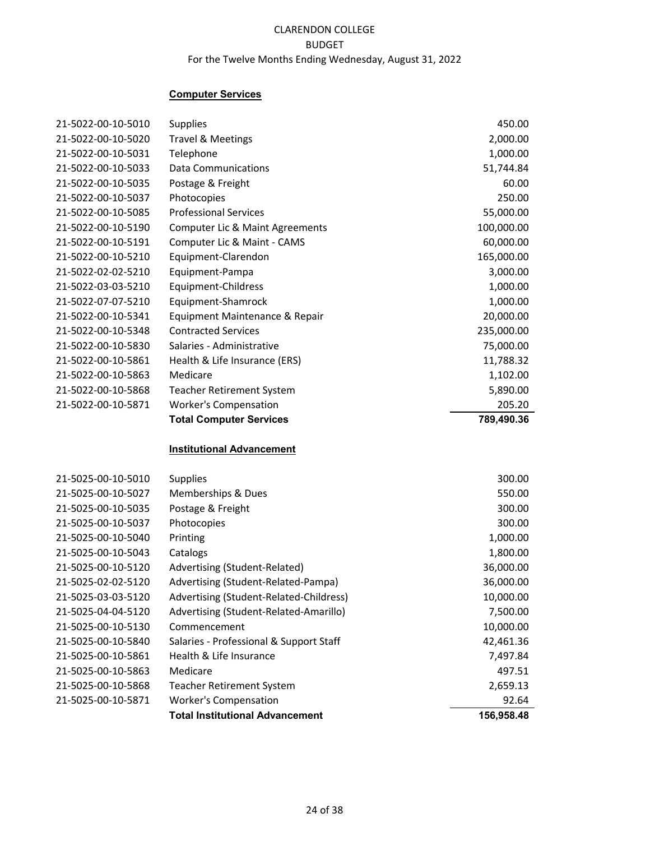## **Computer Services**

| 21-5022-00-10-5010 | <b>Supplies</b>                            | 450.00     |
|--------------------|--------------------------------------------|------------|
| 21-5022-00-10-5020 | <b>Travel &amp; Meetings</b>               | 2,000.00   |
| 21-5022-00-10-5031 | Telephone                                  | 1,000.00   |
| 21-5022-00-10-5033 | <b>Data Communications</b>                 | 51,744.84  |
| 21-5022-00-10-5035 | Postage & Freight                          | 60.00      |
| 21-5022-00-10-5037 | Photocopies                                | 250.00     |
| 21-5022-00-10-5085 | <b>Professional Services</b>               | 55,000.00  |
| 21-5022-00-10-5190 | <b>Computer Lic &amp; Maint Agreements</b> | 100,000.00 |
| 21-5022-00-10-5191 | Computer Lic & Maint - CAMS                | 60,000.00  |
| 21-5022-00-10-5210 | Equipment-Clarendon                        | 165,000.00 |
| 21-5022-02-02-5210 | Equipment-Pampa                            | 3,000.00   |
| 21-5022-03-03-5210 | Equipment-Childress                        | 1,000.00   |
| 21-5022-07-07-5210 | Equipment-Shamrock                         | 1,000.00   |
| 21-5022-00-10-5341 | Equipment Maintenance & Repair             | 20,000.00  |
| 21-5022-00-10-5348 | <b>Contracted Services</b>                 | 235,000.00 |
| 21-5022-00-10-5830 | Salaries - Administrative                  | 75,000.00  |
| 21-5022-00-10-5861 | Health & Life Insurance (ERS)              | 11,788.32  |
| 21-5022-00-10-5863 | Medicare                                   | 1,102.00   |
| 21-5022-00-10-5868 | <b>Teacher Retirement System</b>           | 5,890.00   |
| 21-5022-00-10-5871 | <b>Worker's Compensation</b>               | 205.20     |
|                    | <b>Total Computer Services</b>             | 789,490.36 |
|                    | <b>Institutional Advancement</b>           |            |
| 21-5025-00-10-5010 | Supplies                                   | 300.00     |
| 21-5025-00-10-5027 | Memberships & Dues                         | 550.00     |
| 21-5025-00-10-5035 | Postage & Freight                          | 300.00     |
| 21-5025-00-10-5037 | Photocopies                                | 300.00     |
| 21-5025-00-10-5040 | Printing                                   | 1,000.00   |
| 21-5025-00-10-5043 | Catalogs                                   | 1,800.00   |
| 21-5025-00-10-5120 | Advertising (Student-Related)              | 36,000.00  |
| 21-5025-02-02-5120 | Advertising (Student-Related-Pampa)        | 36,000.00  |
| 21-5025-03-03-5120 | Advertising (Student-Related-Childress)    | 10,000.00  |
| 21-5025-04-04-5120 | Advertising (Student-Related-Amarillo)     | 7,500.00   |
| 21-5025-00-10-5130 | Commencement                               | 10,000.00  |
| 21-5025-00-10-5840 | Salaries - Professional & Support Staff    | 42,461.36  |
| 21-5025-00-10-5861 | Health & Life Insurance                    | 7,497.84   |
| 21-5025-00-10-5863 | Medicare                                   | 497.51     |
| 21-5025-00-10-5868 | <b>Teacher Retirement System</b>           | 2,659.13   |
| 21-5025-00-10-5871 | <b>Worker's Compensation</b>               | 92.64      |
|                    | <b>Total Institutional Advancement</b>     | 156,958.48 |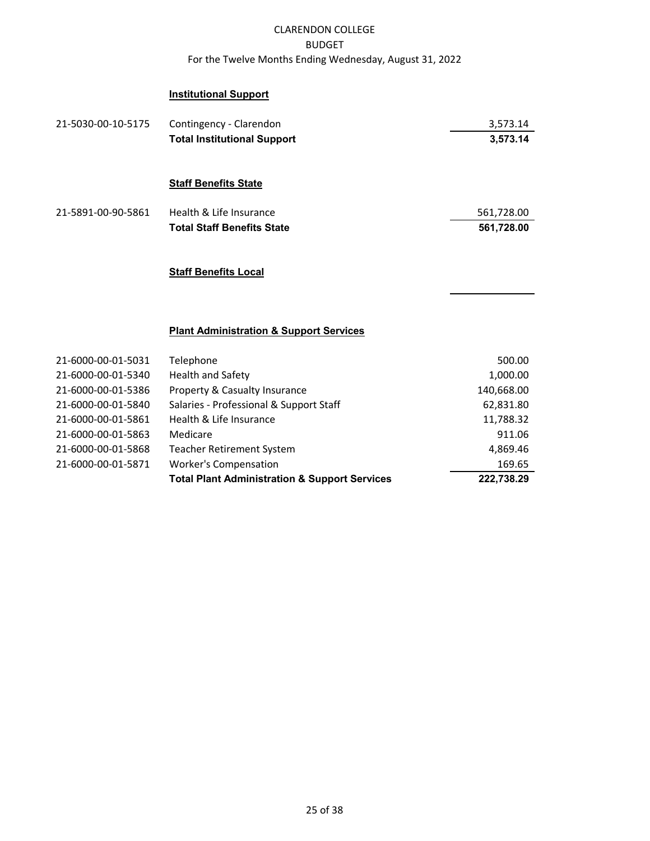## **Institutional Support**

| 21-5030-00-10-5175 | Contingency - Clarendon            | 3,573.14   |
|--------------------|------------------------------------|------------|
|                    | <b>Total Institutional Support</b> | 3,573.14   |
|                    |                                    |            |
|                    | <b>Staff Benefits State</b>        |            |
| 21-5891-00-90-5861 | Health & Life Insurance            | 561,728.00 |
|                    | <b>Total Staff Benefits State</b>  | 561,728.00 |
|                    |                                    |            |
|                    | <b>Staff Benefits Local</b>        |            |

#### **Plant Administration & Support Services**

| 21-6000-00-01-5031 | Telephone                                                | 500.00     |
|--------------------|----------------------------------------------------------|------------|
| 21-6000-00-01-5340 | <b>Health and Safety</b>                                 | 1,000.00   |
| 21-6000-00-01-5386 | Property & Casualty Insurance                            | 140,668.00 |
| 21-6000-00-01-5840 | Salaries - Professional & Support Staff                  | 62,831.80  |
| 21-6000-00-01-5861 | Health & Life Insurance                                  | 11,788.32  |
| 21-6000-00-01-5863 | Medicare                                                 | 911.06     |
| 21-6000-00-01-5868 | <b>Teacher Retirement System</b>                         | 4,869.46   |
| 21-6000-00-01-5871 | <b>Worker's Compensation</b>                             | 169.65     |
|                    | <b>Total Plant Administration &amp; Support Services</b> | 222,738.29 |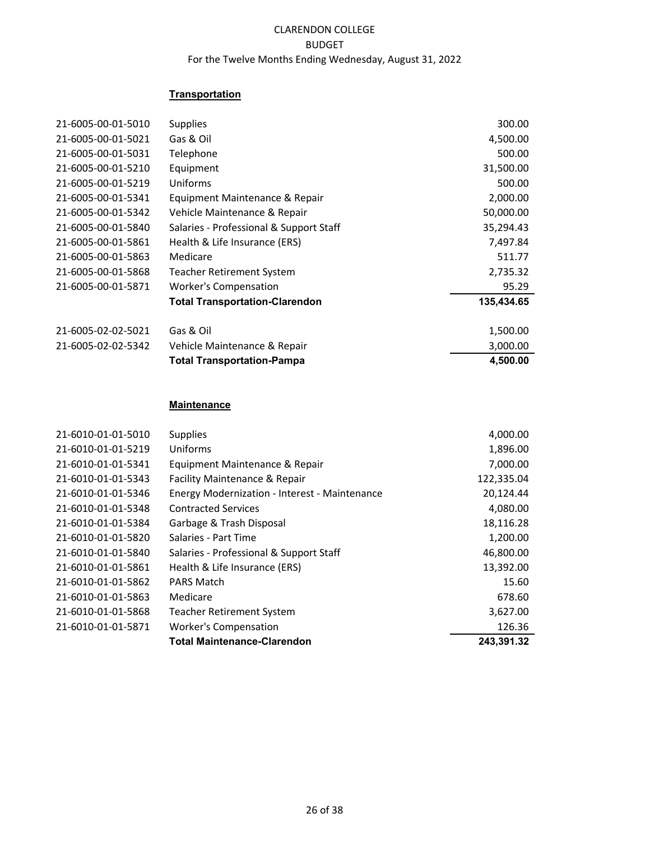## **Transportation**

| 21-6005-00-01-5010 | <b>Supplies</b>                         | 300.00     |
|--------------------|-----------------------------------------|------------|
|                    |                                         |            |
| 21-6005-00-01-5021 | Gas & Oil                               | 4,500.00   |
| 21-6005-00-01-5031 | Telephone                               | 500.00     |
| 21-6005-00-01-5210 | Equipment                               | 31,500.00  |
| 21-6005-00-01-5219 | Uniforms                                | 500.00     |
| 21-6005-00-01-5341 | Equipment Maintenance & Repair          | 2,000.00   |
| 21-6005-00-01-5342 | Vehicle Maintenance & Repair            | 50,000.00  |
| 21-6005-00-01-5840 | Salaries - Professional & Support Staff | 35,294.43  |
| 21-6005-00-01-5861 | Health & Life Insurance (ERS)           | 7,497.84   |
| 21-6005-00-01-5863 | Medicare                                | 511.77     |
| 21-6005-00-01-5868 | Teacher Retirement System               | 2,735.32   |
| 21-6005-00-01-5871 | <b>Worker's Compensation</b>            | 95.29      |
|                    | <b>Total Transportation-Clarendon</b>   | 135,434.65 |
| 21-6005-02-02-5021 | Gas & Oil                               | 1,500.00   |
| 21-6005-02-02-5342 | Vehicle Maintenance & Repair            | 3,000.00   |
|                    | <b>Total Transportation-Pampa</b>       | 4,500.00   |

#### **Maintenance**

| 21-6010-01-01-5010 | <b>Supplies</b>                               | 4,000.00   |
|--------------------|-----------------------------------------------|------------|
| 21-6010-01-01-5219 | Uniforms                                      | 1,896.00   |
| 21-6010-01-01-5341 | Equipment Maintenance & Repair                | 7,000.00   |
| 21-6010-01-01-5343 | Facility Maintenance & Repair                 | 122,335.04 |
| 21-6010-01-01-5346 | Energy Modernization - Interest - Maintenance | 20,124.44  |
| 21-6010-01-01-5348 | <b>Contracted Services</b>                    | 4,080.00   |
| 21-6010-01-01-5384 | Garbage & Trash Disposal                      | 18,116.28  |
| 21-6010-01-01-5820 | Salaries - Part Time                          | 1,200.00   |
| 21-6010-01-01-5840 | Salaries - Professional & Support Staff       | 46,800.00  |
| 21-6010-01-01-5861 | Health & Life Insurance (ERS)                 | 13,392.00  |
| 21-6010-01-01-5862 | <b>PARS Match</b>                             | 15.60      |
| 21-6010-01-01-5863 | Medicare                                      | 678.60     |
| 21-6010-01-01-5868 | <b>Teacher Retirement System</b>              | 3,627.00   |
| 21-6010-01-01-5871 | <b>Worker's Compensation</b>                  | 126.36     |
|                    | <b>Total Maintenance-Clarendon</b>            | 243,391.32 |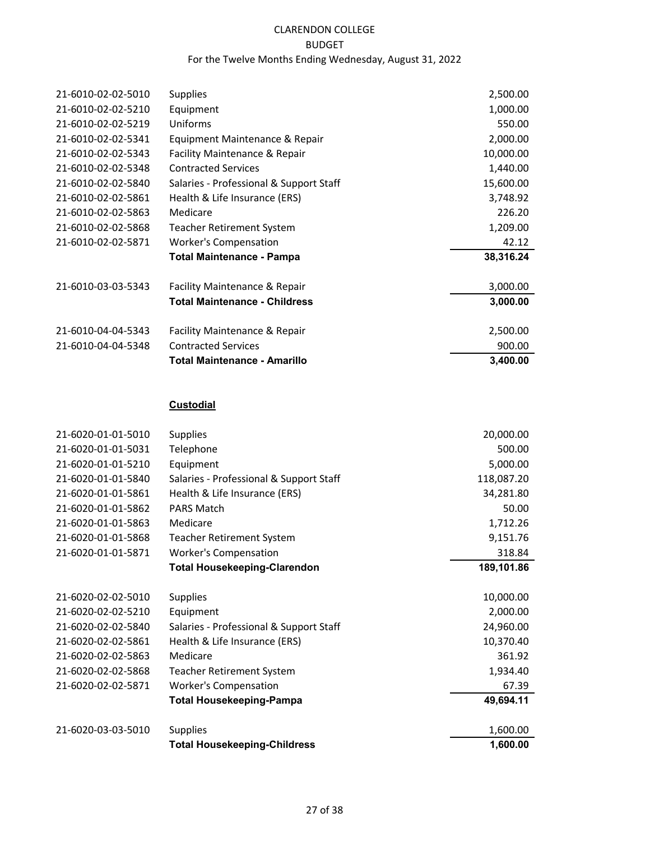| 21-6010-02-02-5010 | <b>Supplies</b>                         | 2,500.00  |
|--------------------|-----------------------------------------|-----------|
| 21-6010-02-02-5210 | Equipment                               | 1,000.00  |
| 21-6010-02-02-5219 | Uniforms                                | 550.00    |
| 21-6010-02-02-5341 | Equipment Maintenance & Repair          | 2,000.00  |
| 21-6010-02-02-5343 | Facility Maintenance & Repair           | 10,000.00 |
| 21-6010-02-02-5348 | <b>Contracted Services</b>              | 1,440.00  |
| 21-6010-02-02-5840 | Salaries - Professional & Support Staff | 15,600.00 |
| 21-6010-02-02-5861 | Health & Life Insurance (ERS)           | 3,748.92  |
| 21-6010-02-02-5863 | Medicare                                | 226.20    |
| 21-6010-02-02-5868 | Teacher Retirement System               | 1,209.00  |
| 21-6010-02-02-5871 | <b>Worker's Compensation</b>            | 42.12     |
|                    | Total Maintenance - Pampa               | 38,316.24 |
| 21-6010-03-03-5343 | Facility Maintenance & Repair           | 3,000.00  |
|                    | <b>Total Maintenance - Childress</b>    | 3,000.00  |
| 21-6010-04-04-5343 | Facility Maintenance & Repair           | 2,500.00  |
| 21-6010-04-04-5348 | <b>Contracted Services</b>              | 900.00    |
|                    | <b>Total Maintenance - Amarillo</b>     | 3.400.00  |

# **Custodial**

| 21-6020-01-01-5010 | <b>Supplies</b>                         | 20,000.00  |
|--------------------|-----------------------------------------|------------|
| 21-6020-01-01-5031 | Telephone                               | 500.00     |
| 21-6020-01-01-5210 | Equipment                               | 5,000.00   |
| 21-6020-01-01-5840 | Salaries - Professional & Support Staff | 118,087.20 |
| 21-6020-01-01-5861 | Health & Life Insurance (ERS)           | 34,281.80  |
| 21-6020-01-01-5862 | <b>PARS Match</b>                       | 50.00      |
| 21-6020-01-01-5863 | Medicare                                | 1,712.26   |
| 21-6020-01-01-5868 | <b>Teacher Retirement System</b>        | 9,151.76   |
| 21-6020-01-01-5871 | <b>Worker's Compensation</b>            | 318.84     |
|                    | <b>Total Housekeeping-Clarendon</b>     | 189,101.86 |
| 21-6020-02-02-5010 | <b>Supplies</b>                         | 10,000.00  |
| 21-6020-02-02-5210 | Equipment                               | 2,000.00   |
| 21-6020-02-02-5840 | Salaries - Professional & Support Staff | 24,960.00  |
| 21-6020-02-02-5861 | Health & Life Insurance (ERS)           | 10,370.40  |
| 21-6020-02-02-5863 | Medicare                                | 361.92     |
| 21-6020-02-02-5868 | Teacher Retirement System               | 1,934.40   |
| 21-6020-02-02-5871 | <b>Worker's Compensation</b>            | 67.39      |
|                    | <b>Total Housekeeping-Pampa</b>         | 49,694.11  |
| 21-6020-03-03-5010 | <b>Supplies</b>                         | 1,600.00   |
|                    | <b>Total Housekeeping-Childress</b>     | 1,600.00   |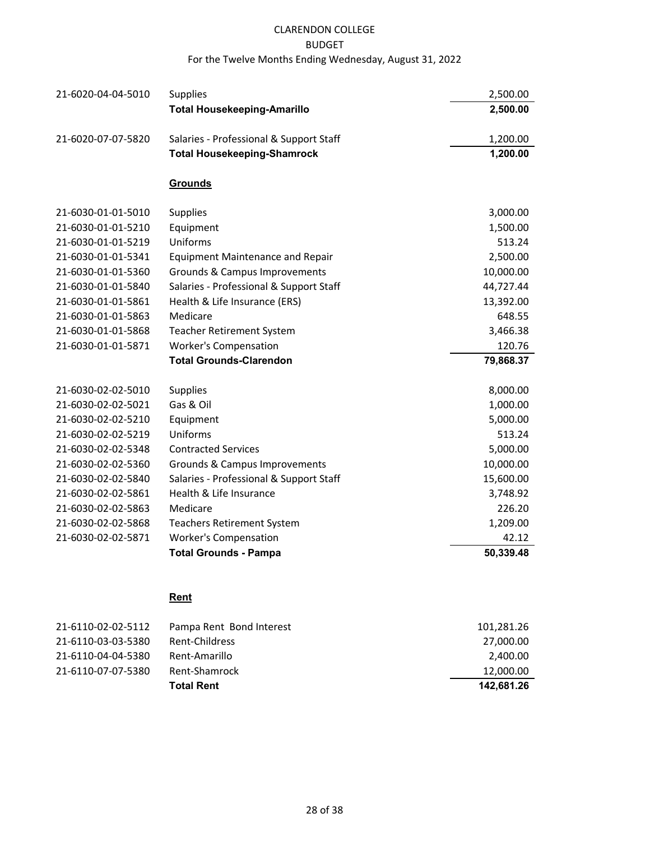# CLARENDON COLLEGE

#### BUDGET

## For the Twelve Months Ending Wednesday, August 31, 2022

| 21-6020-04-04-5010 | <b>Supplies</b>                         | 2,500.00  |
|--------------------|-----------------------------------------|-----------|
|                    | <b>Total Housekeeping-Amarillo</b>      | 2,500.00  |
| 21-6020-07-07-5820 | Salaries - Professional & Support Staff | 1,200.00  |
|                    | <b>Total Housekeeping-Shamrock</b>      | 1,200.00  |
|                    | <b>Grounds</b>                          |           |
| 21-6030-01-01-5010 | Supplies                                | 3,000.00  |
| 21-6030-01-01-5210 | Equipment                               | 1,500.00  |
| 21-6030-01-01-5219 | Uniforms                                | 513.24    |
| 21-6030-01-01-5341 | <b>Equipment Maintenance and Repair</b> | 2,500.00  |
| 21-6030-01-01-5360 | Grounds & Campus Improvements           | 10,000.00 |
| 21-6030-01-01-5840 | Salaries - Professional & Support Staff | 44,727.44 |
| 21-6030-01-01-5861 | Health & Life Insurance (ERS)           | 13,392.00 |
| 21-6030-01-01-5863 | Medicare                                | 648.55    |
| 21-6030-01-01-5868 | <b>Teacher Retirement System</b>        | 3,466.38  |
| 21-6030-01-01-5871 | <b>Worker's Compensation</b>            | 120.76    |
|                    | <b>Total Grounds-Clarendon</b>          | 79,868.37 |
| 21-6030-02-02-5010 | Supplies                                | 8,000.00  |
| 21-6030-02-02-5021 | Gas & Oil                               | 1,000.00  |
| 21-6030-02-02-5210 | Equipment                               | 5,000.00  |
| 21-6030-02-02-5219 | Uniforms                                | 513.24    |
| 21-6030-02-02-5348 | <b>Contracted Services</b>              | 5,000.00  |
| 21-6030-02-02-5360 | Grounds & Campus Improvements           | 10,000.00 |
| 21-6030-02-02-5840 | Salaries - Professional & Support Staff | 15,600.00 |
| 21-6030-02-02-5861 | Health & Life Insurance                 | 3,748.92  |
| 21-6030-02-02-5863 | Medicare                                | 226.20    |
| 21-6030-02-02-5868 | <b>Teachers Retirement System</b>       | 1,209.00  |
| 21-6030-02-02-5871 | <b>Worker's Compensation</b>            | 42.12     |
|                    | <b>Total Grounds - Pampa</b>            | 50,339.48 |

# **Rent**

| 21-6110-02-02-5112 | Pampa Rent Bond Interest | 101,281.26 |
|--------------------|--------------------------|------------|
| 21-6110-03-03-5380 | Rent-Childress           | 27,000.00  |
| 21-6110-04-04-5380 | Rent-Amarillo            | 2,400.00   |
| 21-6110-07-07-5380 | Rent-Shamrock            | 12,000.00  |
|                    | <b>Total Rent</b>        | 142.681.26 |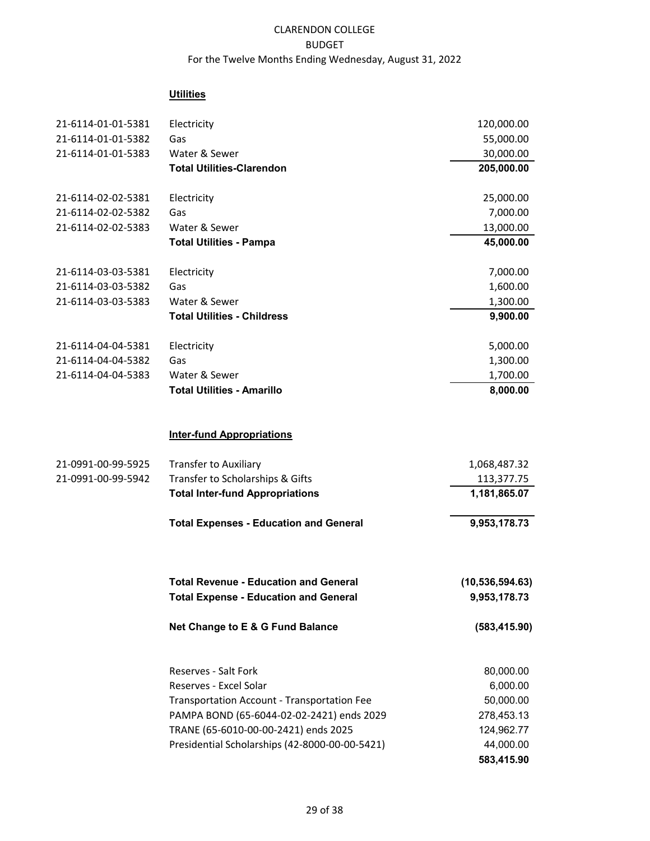## **Utilities**

| 21-6114-01-01-5381 | Electricity                                        | 120,000.00        |
|--------------------|----------------------------------------------------|-------------------|
| 21-6114-01-01-5382 | Gas                                                | 55,000.00         |
| 21-6114-01-01-5383 | Water & Sewer                                      | 30,000.00         |
|                    | <b>Total Utilities-Clarendon</b>                   | 205,000.00        |
| 21-6114-02-02-5381 | Electricity                                        | 25,000.00         |
| 21-6114-02-02-5382 | Gas                                                | 7,000.00          |
| 21-6114-02-02-5383 | Water & Sewer                                      | 13,000.00         |
|                    | <b>Total Utilities - Pampa</b>                     | 45,000.00         |
| 21-6114-03-03-5381 | Electricity                                        | 7,000.00          |
| 21-6114-03-03-5382 | Gas                                                | 1,600.00          |
| 21-6114-03-03-5383 | Water & Sewer                                      | 1,300.00          |
|                    | <b>Total Utilities - Childress</b>                 | 9,900.00          |
| 21-6114-04-04-5381 | Electricity                                        | 5,000.00          |
| 21-6114-04-04-5382 | Gas                                                | 1,300.00          |
| 21-6114-04-04-5383 | Water & Sewer                                      | 1,700.00          |
|                    | <b>Total Utilities - Amarillo</b>                  | 8,000.00          |
|                    | <b>Inter-fund Appropriations</b>                   |                   |
| 21-0991-00-99-5925 | <b>Transfer to Auxiliary</b>                       | 1,068,487.32      |
| 21-0991-00-99-5942 | Transfer to Scholarships & Gifts                   | 113,377.75        |
|                    | <b>Total Inter-fund Appropriations</b>             | 1,181,865.07      |
|                    | <b>Total Expenses - Education and General</b>      | 9,953,178.73      |
|                    | <b>Total Revenue - Education and General</b>       | (10, 536, 594.63) |
|                    | <b>Total Expense - Education and General</b>       | 9,953,178.73      |
|                    | Net Change to E & G Fund Balance                   | (583, 415.90)     |
|                    | Reserves - Salt Fork                               | 80,000.00         |
|                    | Reserves - Excel Solar                             | 6,000.00          |
|                    | <b>Transportation Account - Transportation Fee</b> | 50,000.00         |
|                    | PAMPA BOND (65-6044-02-02-2421) ends 2029          | 278,453.13        |
|                    | TRANE (65-6010-00-00-2421) ends 2025               | 124,962.77        |
|                    | Presidential Scholarships (42-8000-00-00-5421)     | 44,000.00         |
|                    |                                                    | 583,415.90        |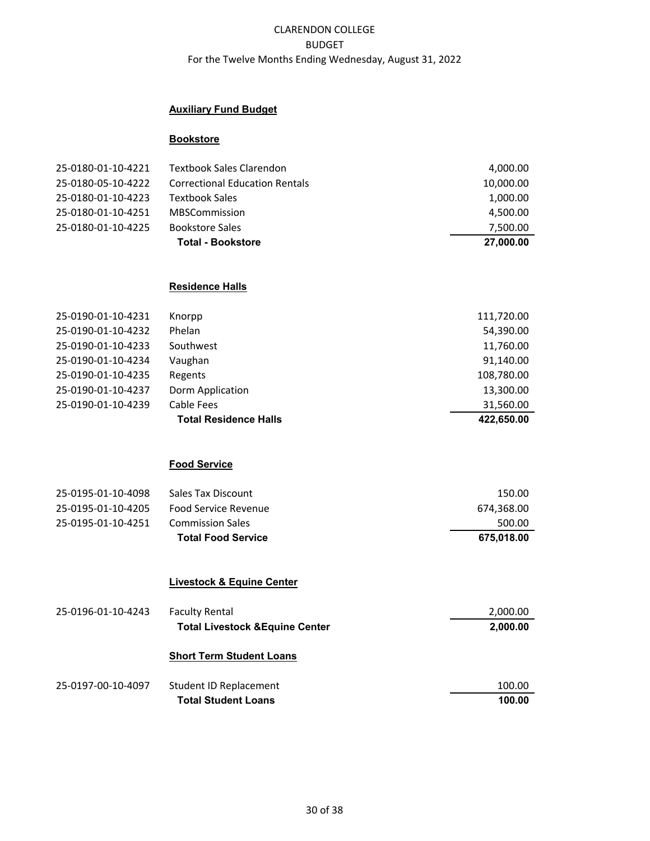## **Auxiliary Fund Budget**

#### **Bookstore**

| 25-0180-01-10-4221 | <b>Textbook Sales Clarendon</b>       | 4,000.00  |
|--------------------|---------------------------------------|-----------|
| 25-0180-05-10-4222 | <b>Correctional Education Rentals</b> | 10,000.00 |
| 25-0180-01-10-4223 | Textbook Sales                        | 1,000.00  |
| 25-0180-01-10-4251 | <b>MBSCommission</b>                  | 4,500.00  |
| 25-0180-01-10-4225 | <b>Bookstore Sales</b>                | 7,500.00  |
|                    | <b>Total - Bookstore</b>              | 27,000.00 |

#### **Residence Halls**

| 25-0190-01-10-4231 | Knorpp                       | 111,720.00 |
|--------------------|------------------------------|------------|
| 25-0190-01-10-4232 | Phelan                       | 54,390.00  |
| 25-0190-01-10-4233 | Southwest                    | 11,760.00  |
| 25-0190-01-10-4234 | Vaughan                      | 91,140.00  |
| 25-0190-01-10-4235 | Regents                      | 108,780.00 |
| 25-0190-01-10-4237 | Dorm Application             | 13,300.00  |
| 25-0190-01-10-4239 | Cable Fees                   | 31,560.00  |
|                    | <b>Total Residence Halls</b> | 422.650.00 |

#### **Food Service**

| 25-0195-01-10-4098 | Sales Tax Discount        | 150.00     |
|--------------------|---------------------------|------------|
| 25-0195-01-10-4205 | Food Service Revenue      | 674.368.00 |
| 25-0195-01-10-4251 | Commission Sales          | 500.00     |
|                    | <b>Total Food Service</b> | 675.018.00 |

## **Livestock & Equine Center**

| 25-0196-01-10-4243 | <b>Faculty Rental</b><br><b>Total Livestock &amp; Equine Center</b> | 2,000.00<br>2,000.00 |
|--------------------|---------------------------------------------------------------------|----------------------|
|                    | <b>Short Term Student Loans</b>                                     |                      |
| 25-0197-00-10-4097 | Student ID Replacement                                              | 100.00               |
|                    | <b>Total Student Loans</b>                                          | 100.00               |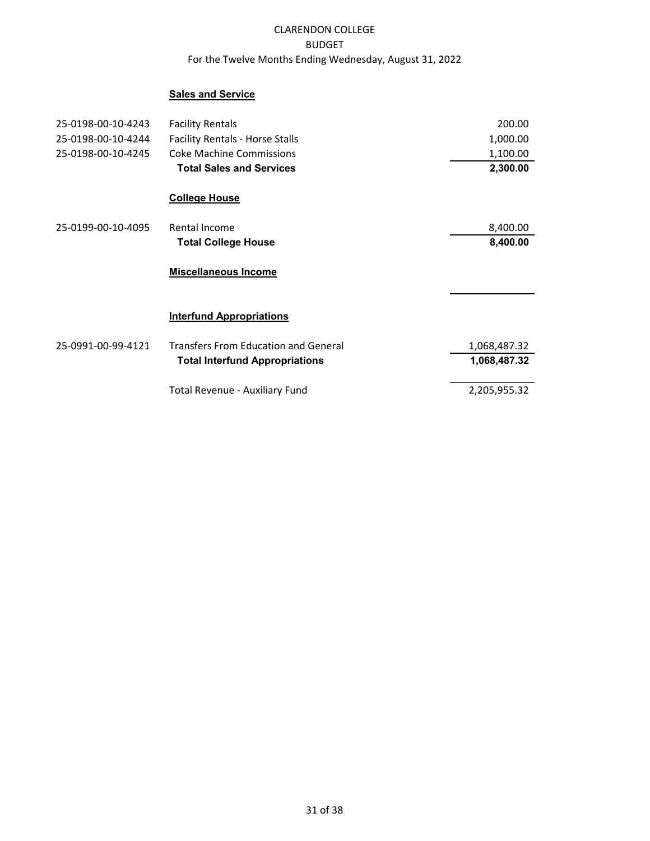## **Sales and Service**

| 25-0198-00-10-4243 | <b>Facility Rentals</b>                     | 200.00       |
|--------------------|---------------------------------------------|--------------|
| 25-0198-00-10-4244 | <b>Facility Rentals - Horse Stalls</b>      | 1,000.00     |
| 25-0198-00-10-4245 | <b>Coke Machine Commissions</b>             | 1,100.00     |
|                    | <b>Total Sales and Services</b>             | 2,300.00     |
|                    | <b>College House</b>                        |              |
| 25-0199-00-10-4095 | Rental Income                               | 8,400.00     |
|                    | <b>Total College House</b>                  | 8,400.00     |
|                    | <b>Miscellaneous Income</b>                 |              |
|                    | <b>Interfund Appropriations</b>             |              |
| 25-0991-00-99-4121 | <b>Transfers From Education and General</b> | 1,068,487.32 |
|                    | <b>Total Interfund Appropriations</b>       | 1,068,487.32 |
|                    | Total Revenue - Auxiliary Fund              | 2,205,955.32 |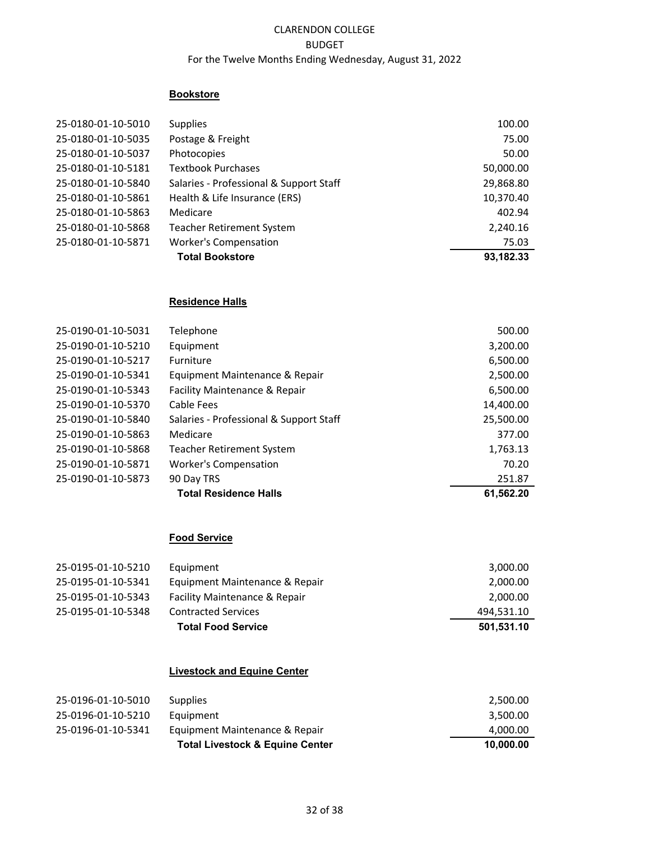## **Bookstore**

| 25-0180-01-10-5010 | <b>Supplies</b>                         | 100.00    |
|--------------------|-----------------------------------------|-----------|
| 25-0180-01-10-5035 | Postage & Freight                       | 75.00     |
| 25-0180-01-10-5037 | Photocopies                             | 50.00     |
| 25-0180-01-10-5181 | <b>Textbook Purchases</b>               | 50,000.00 |
| 25-0180-01-10-5840 | Salaries - Professional & Support Staff | 29,868.80 |
| 25-0180-01-10-5861 | Health & Life Insurance (ERS)           | 10,370.40 |
| 25-0180-01-10-5863 | Medicare                                | 402.94    |
| 25-0180-01-10-5868 | <b>Teacher Retirement System</b>        | 2,240.16  |
| 25-0180-01-10-5871 | <b>Worker's Compensation</b>            | 75.03     |
|                    | <b>Total Bookstore</b>                  | 93,182.33 |

## **Residence Halls**

| 25-0190-01-10-5031 | Telephone                               | 500.00    |
|--------------------|-----------------------------------------|-----------|
| 25-0190-01-10-5210 | Equipment                               | 3,200.00  |
| 25-0190-01-10-5217 | Furniture                               | 6,500.00  |
| 25-0190-01-10-5341 | Equipment Maintenance & Repair          | 2,500.00  |
| 25-0190-01-10-5343 | Facility Maintenance & Repair           | 6,500.00  |
| 25-0190-01-10-5370 | Cable Fees                              | 14,400.00 |
| 25-0190-01-10-5840 | Salaries - Professional & Support Staff | 25,500.00 |
| 25-0190-01-10-5863 | Medicare                                | 377.00    |
| 25-0190-01-10-5868 | <b>Teacher Retirement System</b>        | 1,763.13  |
| 25-0190-01-10-5871 | <b>Worker's Compensation</b>            | 70.20     |
| 25-0190-01-10-5873 | 90 Day TRS                              | 251.87    |
|                    | <b>Total Residence Halls</b>            | 61,562.20 |

## **Food Service**

| 25-0195-01-10-5210 | Equipment                      | 3,000.00   |
|--------------------|--------------------------------|------------|
| 25-0195-01-10-5341 | Equipment Maintenance & Repair | 2,000.00   |
| 25-0195-01-10-5343 | Facility Maintenance & Repair  | 2,000.00   |
| 25-0195-01-10-5348 | <b>Contracted Services</b>     | 494,531.10 |
|                    | <b>Total Food Service</b>      | 501,531.10 |

## **Livestock and Equine Center**

| 25-0196-01-10-5341 | Equipment Maintenance & Repair | 4,000.00 |
|--------------------|--------------------------------|----------|
|                    |                                |          |
| 25-0196-01-10-5210 | Equipment                      | 3.500.00 |
| 25-0196-01-10-5010 | Supplies                       | 2,500.00 |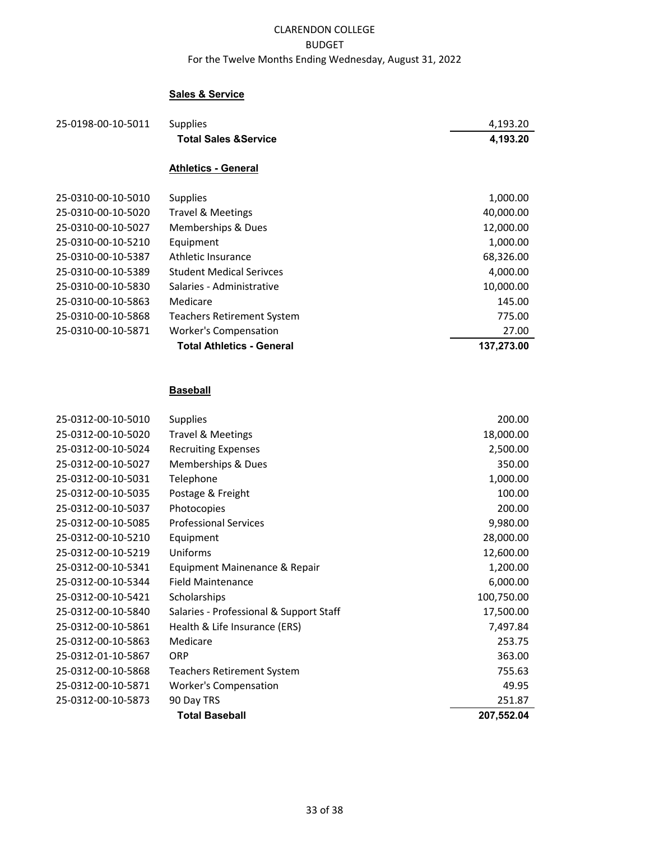## **Sales & Service**

| 25-0198-00-10-5011 | <b>Supplies</b>                  | 4,193.20   |
|--------------------|----------------------------------|------------|
|                    | <b>Total Sales &amp; Service</b> | 4,193.20   |
|                    | <b>Athletics - General</b>       |            |
|                    |                                  |            |
| 25-0310-00-10-5010 | <b>Supplies</b>                  | 1,000.00   |
| 25-0310-00-10-5020 | <b>Travel &amp; Meetings</b>     | 40,000.00  |
| 25-0310-00-10-5027 | Memberships & Dues               | 12,000.00  |
| 25-0310-00-10-5210 | Equipment                        | 1,000.00   |
| 25-0310-00-10-5387 | Athletic Insurance               | 68,326.00  |
| 25-0310-00-10-5389 | <b>Student Medical Serivces</b>  | 4,000.00   |
| 25-0310-00-10-5830 | Salaries - Administrative        | 10,000.00  |
| 25-0310-00-10-5863 | Medicare                         | 145.00     |
| 25-0310-00-10-5868 | Teachers Retirement System       | 775.00     |
| 25-0310-00-10-5871 | <b>Worker's Compensation</b>     | 27.00      |
|                    | <b>Total Athletics - General</b> | 137.273.00 |

# **Baseball**

|                    | <b>Total Baseball</b>                   | 207,552.04 |
|--------------------|-----------------------------------------|------------|
| 25-0312-00-10-5873 | 90 Day TRS                              | 251.87     |
| 25-0312-00-10-5871 | <b>Worker's Compensation</b>            | 49.95      |
| 25-0312-00-10-5868 | <b>Teachers Retirement System</b>       | 755.63     |
| 25-0312-01-10-5867 | <b>ORP</b>                              | 363.00     |
| 25-0312-00-10-5863 | Medicare                                | 253.75     |
| 25-0312-00-10-5861 | Health & Life Insurance (ERS)           | 7,497.84   |
| 25-0312-00-10-5840 | Salaries - Professional & Support Staff | 17,500.00  |
| 25-0312-00-10-5421 | Scholarships                            | 100,750.00 |
| 25-0312-00-10-5344 | <b>Field Maintenance</b>                | 6,000.00   |
| 25-0312-00-10-5341 | Equipment Mainenance & Repair           | 1,200.00   |
| 25-0312-00-10-5219 | Uniforms                                | 12,600.00  |
| 25-0312-00-10-5210 | Equipment                               | 28,000.00  |
| 25-0312-00-10-5085 | <b>Professional Services</b>            | 9,980.00   |
| 25-0312-00-10-5037 | Photocopies                             | 200.00     |
| 25-0312-00-10-5035 | Postage & Freight                       | 100.00     |
| 25-0312-00-10-5031 | Telephone                               | 1,000.00   |
| 25-0312-00-10-5027 | Memberships & Dues                      | 350.00     |
| 25-0312-00-10-5024 | <b>Recruiting Expenses</b>              | 2,500.00   |
| 25-0312-00-10-5020 | <b>Travel &amp; Meetings</b>            | 18,000.00  |
| 25-0312-00-10-5010 | <b>Supplies</b>                         | 200.00     |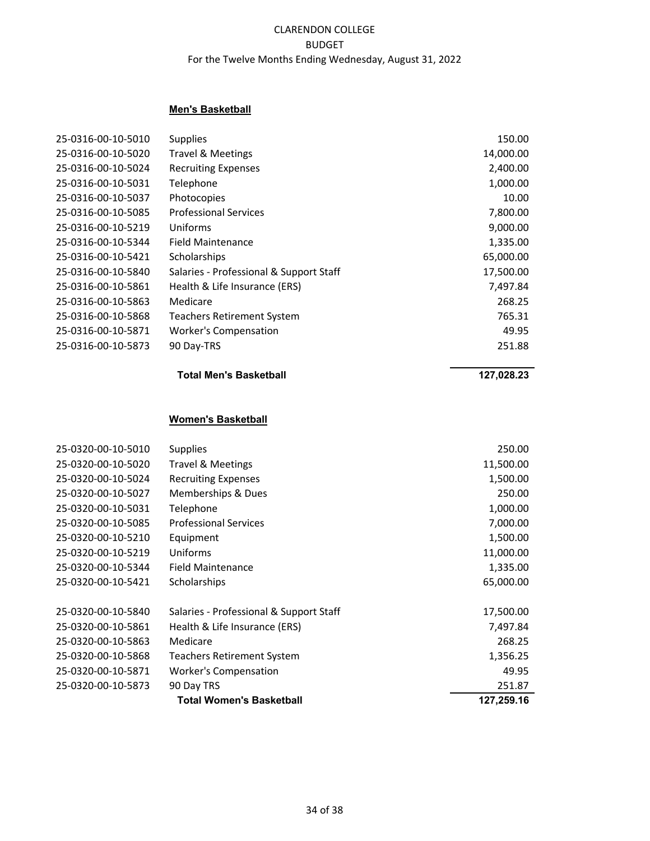#### **Men's Basketball**

| 25-0316-00-10-5010 | <b>Supplies</b>                         | 150.00    |
|--------------------|-----------------------------------------|-----------|
| 25-0316-00-10-5020 | <b>Travel &amp; Meetings</b>            | 14,000.00 |
| 25-0316-00-10-5024 | <b>Recruiting Expenses</b>              | 2,400.00  |
| 25-0316-00-10-5031 | Telephone                               | 1,000.00  |
| 25-0316-00-10-5037 | Photocopies                             | 10.00     |
| 25-0316-00-10-5085 | <b>Professional Services</b>            | 7,800.00  |
| 25-0316-00-10-5219 | Uniforms                                | 9,000.00  |
| 25-0316-00-10-5344 | Field Maintenance                       | 1,335.00  |
| 25-0316-00-10-5421 | Scholarships                            | 65,000.00 |
| 25-0316-00-10-5840 | Salaries - Professional & Support Staff | 17,500.00 |
| 25-0316-00-10-5861 | Health & Life Insurance (ERS)           | 7,497.84  |
| 25-0316-00-10-5863 | Medicare                                | 268.25    |
| 25-0316-00-10-5868 | <b>Teachers Retirement System</b>       | 765.31    |
| 25-0316-00-10-5871 | <b>Worker's Compensation</b>            | 49.95     |
| 25-0316-00-10-5873 | 90 Day-TRS                              | 251.88    |

#### **Total Men's Basketball 127,028.23**

## **Women's Basketball**

|                    | <b>Total Women's Basketball</b>         | 127,259.16 |
|--------------------|-----------------------------------------|------------|
| 25-0320-00-10-5873 | 90 Day TRS                              | 251.87     |
| 25-0320-00-10-5871 | <b>Worker's Compensation</b>            | 49.95      |
| 25-0320-00-10-5868 | Teachers Retirement System              | 1,356.25   |
| 25-0320-00-10-5863 | Medicare                                | 268.25     |
| 25-0320-00-10-5861 | Health & Life Insurance (ERS)           | 7,497.84   |
| 25-0320-00-10-5840 | Salaries - Professional & Support Staff | 17,500.00  |
| 25-0320-00-10-5421 | Scholarships                            | 65,000.00  |
| 25-0320-00-10-5344 | <b>Field Maintenance</b>                | 1,335.00   |
| 25-0320-00-10-5219 | Uniforms                                | 11,000.00  |
| 25-0320-00-10-5210 | Equipment                               | 1,500.00   |
| 25-0320-00-10-5085 | <b>Professional Services</b>            | 7,000.00   |
| 25-0320-00-10-5031 | Telephone                               | 1,000.00   |
| 25-0320-00-10-5027 | Memberships & Dues                      | 250.00     |
| 25-0320-00-10-5024 | <b>Recruiting Expenses</b>              | 1,500.00   |
| 25-0320-00-10-5020 | <b>Travel &amp; Meetings</b>            | 11,500.00  |
| 25-0320-00-10-5010 | <b>Supplies</b>                         | 250.00     |
|                    |                                         |            |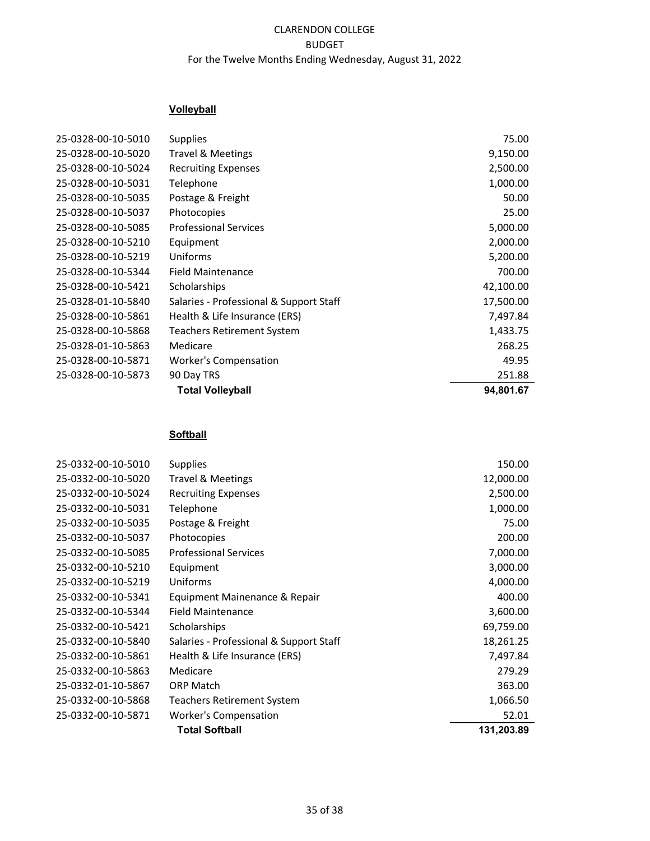# **Volleyball**

| 25-0328-00-10-5020<br><b>Travel &amp; Meetings</b><br>25-0328-00-10-5024<br><b>Recruiting Expenses</b><br>25-0328-00-10-5031<br>Telephone | 9,150.00<br>2,500.00<br>1,000.00<br>50.00 |
|-------------------------------------------------------------------------------------------------------------------------------------------|-------------------------------------------|
|                                                                                                                                           |                                           |
|                                                                                                                                           |                                           |
|                                                                                                                                           |                                           |
| 25-0328-00-10-5035<br>Postage & Freight                                                                                                   |                                           |
| 25-0328-00-10-5037<br>Photocopies                                                                                                         | 25.00                                     |
| 25-0328-00-10-5085<br><b>Professional Services</b>                                                                                        | 5,000.00                                  |
| 25-0328-00-10-5210<br>Equipment                                                                                                           | 2,000.00                                  |
| 25-0328-00-10-5219<br>Uniforms                                                                                                            | 5,200.00                                  |
| 25-0328-00-10-5344<br><b>Field Maintenance</b>                                                                                            | 700.00                                    |
| 25-0328-00-10-5421<br>Scholarships                                                                                                        | 42,100.00                                 |
| 25-0328-01-10-5840<br>Salaries - Professional & Support Staff                                                                             | 17,500.00                                 |
| 25-0328-00-10-5861<br>Health & Life Insurance (ERS)                                                                                       | 7,497.84                                  |
| 25-0328-00-10-5868<br>Teachers Retirement System                                                                                          | 1,433.75                                  |
| 25-0328-01-10-5863<br>Medicare                                                                                                            | 268.25                                    |
| 25-0328-00-10-5871<br>Worker's Compensation                                                                                               | 49.95                                     |
| 25-0328-00-10-5873<br>90 Day TRS                                                                                                          | 251.88                                    |
| <b>Total Volleyball</b>                                                                                                                   | 94,801.67                                 |

## **Softball**

| 25-0332-00-10-5010 | <b>Supplies</b>                         | 150.00     |
|--------------------|-----------------------------------------|------------|
| 25-0332-00-10-5020 | <b>Travel &amp; Meetings</b>            | 12,000.00  |
| 25-0332-00-10-5024 | <b>Recruiting Expenses</b>              | 2,500.00   |
| 25-0332-00-10-5031 | Telephone                               | 1,000.00   |
| 25-0332-00-10-5035 | Postage & Freight                       | 75.00      |
| 25-0332-00-10-5037 | Photocopies                             | 200.00     |
| 25-0332-00-10-5085 | <b>Professional Services</b>            | 7,000.00   |
| 25-0332-00-10-5210 | Equipment                               | 3,000.00   |
| 25-0332-00-10-5219 | Uniforms                                | 4,000.00   |
| 25-0332-00-10-5341 | Equipment Mainenance & Repair           | 400.00     |
| 25-0332-00-10-5344 | <b>Field Maintenance</b>                | 3,600.00   |
| 25-0332-00-10-5421 | Scholarships                            | 69,759.00  |
| 25-0332-00-10-5840 | Salaries - Professional & Support Staff | 18,261.25  |
| 25-0332-00-10-5861 | Health & Life Insurance (ERS)           | 7,497.84   |
| 25-0332-00-10-5863 | Medicare                                | 279.29     |
| 25-0332-01-10-5867 | <b>ORP Match</b>                        | 363.00     |
| 25-0332-00-10-5868 | <b>Teachers Retirement System</b>       | 1,066.50   |
| 25-0332-00-10-5871 | <b>Worker's Compensation</b>            | 52.01      |
|                    | <b>Total Softball</b>                   | 131,203.89 |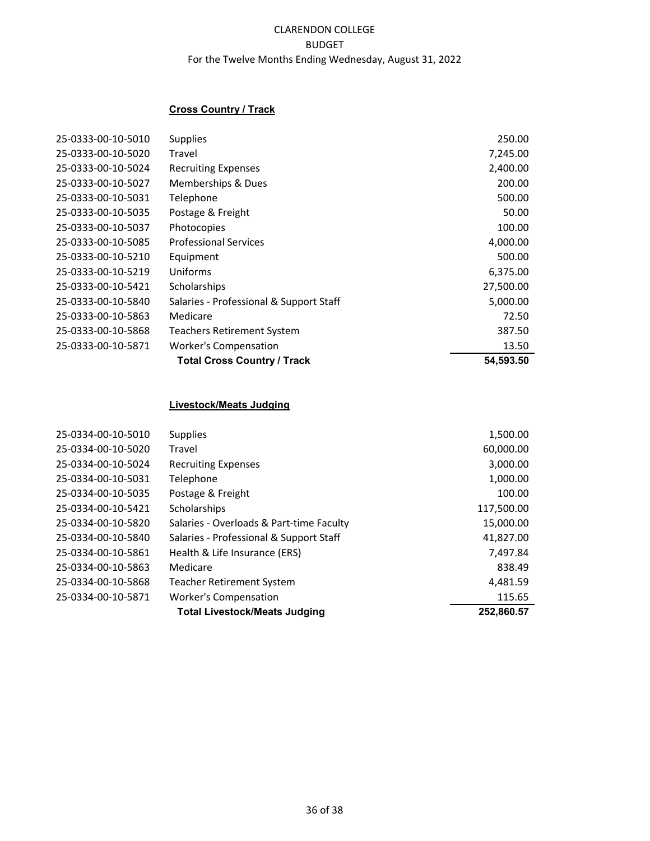# **Cross Country / Track**

|                    | <b>Total Cross Country / Track</b>      | 54,593.50 |
|--------------------|-----------------------------------------|-----------|
| 25-0333-00-10-5871 | <b>Worker's Compensation</b>            | 13.50     |
| 25-0333-00-10-5868 | <b>Teachers Retirement System</b>       | 387.50    |
| 25-0333-00-10-5863 | Medicare                                | 72.50     |
| 25-0333-00-10-5840 | Salaries - Professional & Support Staff | 5,000.00  |
| 25-0333-00-10-5421 | Scholarships                            | 27,500.00 |
| 25-0333-00-10-5219 | Uniforms                                | 6,375.00  |
| 25-0333-00-10-5210 | Equipment                               | 500.00    |
| 25-0333-00-10-5085 | <b>Professional Services</b>            | 4,000.00  |
| 25-0333-00-10-5037 | Photocopies                             | 100.00    |
| 25-0333-00-10-5035 | Postage & Freight                       | 50.00     |
| 25-0333-00-10-5031 | Telephone                               | 500.00    |
| 25-0333-00-10-5027 | Memberships & Dues                      | 200.00    |
| 25-0333-00-10-5024 | <b>Recruiting Expenses</b>              | 2,400.00  |
| 25-0333-00-10-5020 | Travel                                  | 7,245.00  |
| 25-0333-00-10-5010 | <b>Supplies</b>                         | 250.00    |

#### **Livestock/Meats Judging**

| 25-0334-00-10-5010 | <b>Supplies</b>                          | 1,500.00   |
|--------------------|------------------------------------------|------------|
| 25-0334-00-10-5020 | Travel                                   | 60,000.00  |
| 25-0334-00-10-5024 | <b>Recruiting Expenses</b>               | 3,000.00   |
| 25-0334-00-10-5031 | Telephone                                | 1,000.00   |
| 25-0334-00-10-5035 | Postage & Freight                        | 100.00     |
| 25-0334-00-10-5421 | Scholarships                             | 117,500.00 |
| 25-0334-00-10-5820 | Salaries - Overloads & Part-time Faculty | 15,000.00  |
| 25-0334-00-10-5840 | Salaries - Professional & Support Staff  | 41.827.00  |
| 25-0334-00-10-5861 | Health & Life Insurance (ERS)            | 7,497.84   |
| 25-0334-00-10-5863 | Medicare                                 | 838.49     |
| 25-0334-00-10-5868 | <b>Teacher Retirement System</b>         | 4,481.59   |
| 25-0334-00-10-5871 | <b>Worker's Compensation</b>             | 115.65     |
|                    | <b>Total Livestock/Meats Judging</b>     | 252,860.57 |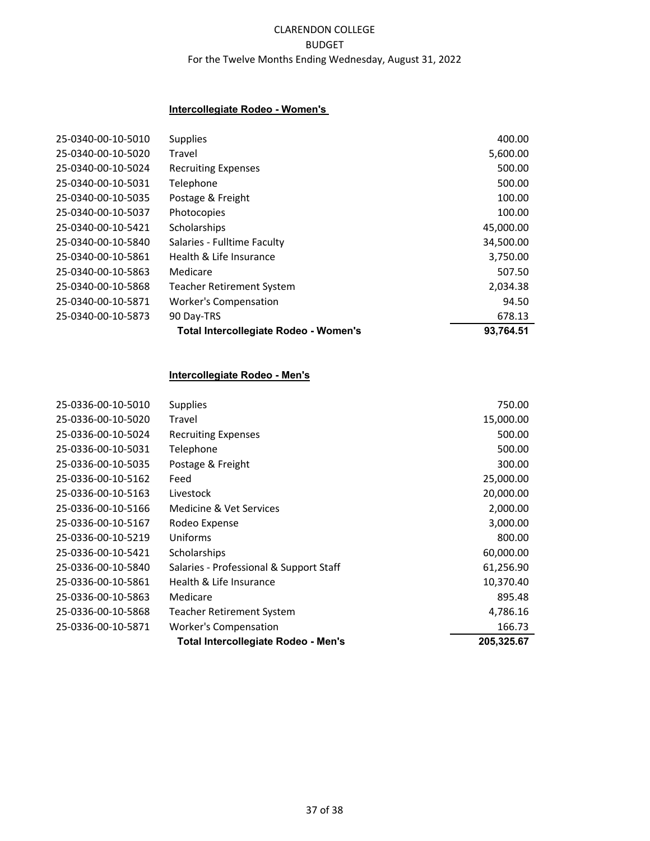#### **Intercollegiate Rodeo - Women's**

|                    | Total Intercollegiate Rodeo - Women's | 93,764.51 |
|--------------------|---------------------------------------|-----------|
| 25-0340-00-10-5873 | 90 Day-TRS                            | 678.13    |
| 25-0340-00-10-5871 | <b>Worker's Compensation</b>          | 94.50     |
| 25-0340-00-10-5868 | <b>Teacher Retirement System</b>      | 2,034.38  |
| 25-0340-00-10-5863 | Medicare                              | 507.50    |
| 25-0340-00-10-5861 | Health & Life Insurance               | 3,750.00  |
| 25-0340-00-10-5840 | Salaries - Fulltime Faculty           | 34,500.00 |
| 25-0340-00-10-5421 | Scholarships                          | 45,000.00 |
| 25-0340-00-10-5037 | Photocopies                           | 100.00    |
| 25-0340-00-10-5035 | Postage & Freight                     | 100.00    |
| 25-0340-00-10-5031 | Telephone                             | 500.00    |
| 25-0340-00-10-5024 | <b>Recruiting Expenses</b>            | 500.00    |
| 25-0340-00-10-5020 | Travel                                | 5,600.00  |
| 25-0340-00-10-5010 | <b>Supplies</b>                       | 400.00    |
|                    |                                       |           |

#### **Intercollegiate Rodeo - Men's**

|                    | Total Intercollegiate Rodeo - Men's     | 205,325.67 |
|--------------------|-----------------------------------------|------------|
| 25-0336-00-10-5871 | <b>Worker's Compensation</b>            | 166.73     |
| 25-0336-00-10-5868 | Teacher Retirement System               | 4,786.16   |
| 25-0336-00-10-5863 | Medicare                                | 895.48     |
| 25-0336-00-10-5861 | Health & Life Insurance                 | 10,370.40  |
| 25-0336-00-10-5840 | Salaries - Professional & Support Staff | 61,256.90  |
| 25-0336-00-10-5421 | Scholarships                            | 60,000.00  |
| 25-0336-00-10-5219 | Uniforms                                | 800.00     |
| 25-0336-00-10-5167 | Rodeo Expense                           | 3,000.00   |
| 25-0336-00-10-5166 | Medicine & Vet Services                 | 2,000.00   |
| 25-0336-00-10-5163 | Livestock                               | 20,000.00  |
| 25-0336-00-10-5162 | Feed                                    | 25,000.00  |
| 25-0336-00-10-5035 | Postage & Freight                       | 300.00     |
| 25-0336-00-10-5031 | Telephone                               | 500.00     |
| 25-0336-00-10-5024 | <b>Recruiting Expenses</b>              | 500.00     |
| 25-0336-00-10-5020 | Travel                                  | 15,000.00  |
| 25-0336-00-10-5010 | <b>Supplies</b>                         | 750.00     |
|                    |                                         |            |